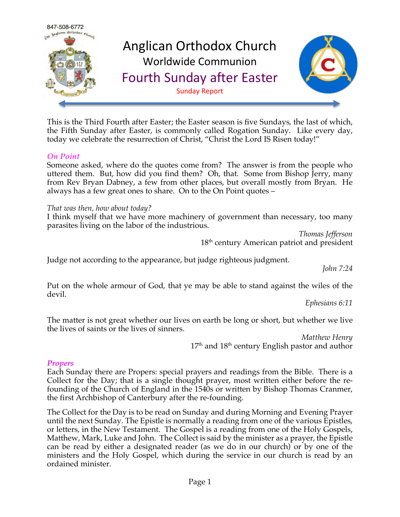

This is the Third Fourth after Easter; the Easter season is five Sundays, the last of which, the Fifth Sunday after Easter, is commonly called Rogation Sunday. Like every day, today we celebrate the resurrection of Christ, "Christ the Lord IS Risen today!"

#### *On Point*

Someone asked, where do the quotes come from? The answer is from the people who uttered them. But, how did you find them? Oh, that. Some from Bishop Jerry, many from Rev Bryan Dabney, a few from other places, but overall mostly from Bryan. He always has a few great ones to share. On to the On Point quotes –

*That was then, how about today?*

I think myself that we have more machinery of government than necessary, too many parasites living on the labor of the industrious.

> *Thomas Jefferson* 18<sup>th</sup> century American patriot and president

Judge not according to the appearance, but judge righteous judgment.

*John 7:24*

Put on the whole armour of God, that ye may be able to stand against the wiles of the devil.

*Ephesians 6:11*

The matter is not great whether our lives on earth be long or short, but whether we live the lives of saints or the lives of sinners.

> *Matthew Henry*  $17<sup>th</sup>$  and  $18<sup>th</sup>$  century English pastor and author

#### *Propers*

Each Sunday there are Propers: special prayers and readings from the Bible. There is a Collect for the Day; that is a single thought prayer, most written either before the refounding of the Church of England in the 1540s or written by Bishop Thomas Cranmer, the first Archbishop of Canterbury after the re-founding.

The Collect for the Day is to be read on Sunday and during Morning and Evening Prayer until the next Sunday. The Epistle is normally a reading from one of the various Epistles, or letters, in the New Testament. The Gospel is a reading from one of the Holy Gospels, Matthew, Mark, Luke and John. The Collect is said by the minister as a prayer, the Epistle can be read by either a designated reader (as we do in our church) or by one of the ministers and the Holy Gospel, which during the service in our church is read by an ordained minister.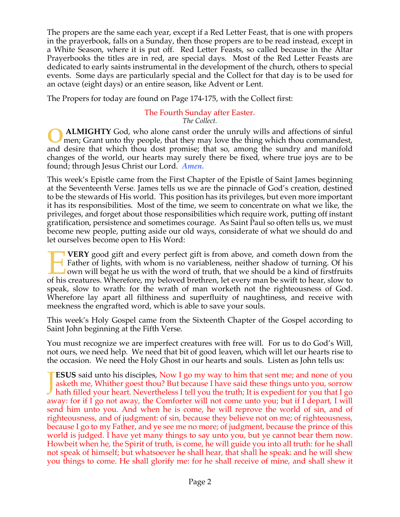The propers are the same each year, except if a Red Letter Feast, that is one with propers in the prayerbook, falls on a Sunday, then those propers are to be read instead, except in a White Season, where it is put off. Red Letter Feasts, so called because in the Altar Prayerbooks the titles are in red, are special days. Most of the Red Letter Feasts are dedicated to early saints instrumental in the development of the church, others to special events. Some days are particularly special and the Collect for that day is to be used for an octave (eight days) or an entire season, like Advent or Lent.

The Propers for today are found on Page 174-175, with the Collect first:

#### The Fourth Sunday after Easter. *The Collect.*

**ALMIGHTY** God, who alone canst order the unruly wills and affections of sinful men; Grant unto thy people, that they may love the thing which thou commandest, and desire that which thou dost promise; that so, among the sundry and manifold changes of the world, our hearts may surely there be fixed, where true joys are to be found; through Jesus Christ our Lord. *Amen.* **O**

This week's Epistle came from the First Chapter of the Epistle of Saint James beginning at the Seventeenth Verse. James tells us we are the pinnacle of God's creation, destined to be the stewards of His world. This position has its privileges, but even more important it has its responsibilities. Most of the time, we seem to concentrate on what we like, the privileges, and forget about those responsibilities which require work, putting off instant gratification, persistence and sometimes courage. As Saint Paul so often tells us, we must become new people, putting aside our old ways, considerate of what we should do and let ourselves become open to His Word:

**VERY** good gift and every perfect gift is from above, and cometh down from the Father of lights, with whom is no variableness, neither shadow of turning. Of his own will begat he us with the word of truth, that we should be a kind of firstfruits **VERY** good gift and every perfect gift is from above, and cometh down from the Father of lights, with whom is no variableness, neither shadow of turning. Of his own will begat he us with the word of truth, that we should speak, slow to wrath: for the wrath of man worketh not the righteousness of God. Wherefore lay apart all filthiness and superfluity of naughtiness, and receive with meekness the engrafted word, which is able to save your souls.

This week's Holy Gospel came from the Sixteenth Chapter of the Gospel according to Saint John beginning at the Fifth Verse.

You must recognize we are imperfect creatures with free will. For us to do God's Will, not ours, we need help. We need that bit of good leaven, which will let our hearts rise to the occasion. We need the Holy Ghost in our hearts and souls. Listen as John tells us:

**ESUS** said unto his disciples, Now I go my way to him that sent me; and none of you asketh me, Whither goest thou? But because I have said these things unto you, sorrow hath filled your heart. Nevertheless I tell you the asketh me, Whither goest thou? But because I have said these things unto you, sorrow hath filled your heart. Nevertheless I tell you the truth; It is expedient for you that I go away: for if I go not away, the Comforter will not come unto you; but if I depart, I will send him unto you. And when he is come, he will reprove the world of sin, and of righteousness, and of judgment: of sin, because they believe not on me; of righteousness, because I go to my Father, and ye see me no more; of judgment, because the prince of this world is judged. I have yet many things to say unto you, but ye cannot bear them now. Howbeit when he, the Spirit of truth, is come, he will guide you into all truth: for he shall not speak of himself; but whatsoever he shall hear, that shall he speak: and he will shew you things to come. He shall glorify me: for he shall receive of mine, and shall shew it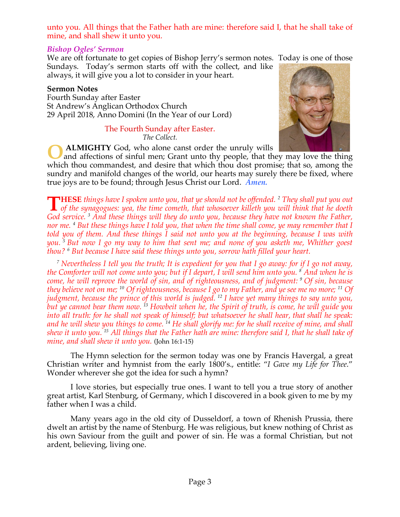unto you. All things that the Father hath are mine: therefore said I, that he shall take of mine, and shall shew it unto you.

### *Bishop Ogles' Sermon*

We are oft fortunate to get copies of Bishop Jerry's sermon notes. Today is one of those Sundays. Today's sermon starts off with the collect, and like always, it will give you a lot to consider in your heart.

### **Sermon Notes**

Fourth Sunday after Easter St Andrew's Anglican Orthodox Church 29 April 2018, Anno Domini (In the Year of our Lord)

> The Fourth Sunday after Easter. *The Collect.*



and affections of sinful men; Grant unto thy people, that they may love the thing which thou commandest, and desire that which thou dost promise; that so, among the sundry and manifold changes of the world, our hearts may surely there be fixed, where true joys are to be found; through Jesus Christ our Lord. *Amen.* **O**

**HESE** *things have I spoken unto you, that ye should not be offended. <sup>2</sup> They shall put you out*  **THESE** things have I spoken unto you, that ye should not be offended. <sup>2</sup> They shall put you out of the synagogues: yea, the time cometh, that whosoever killeth you will think that he doeth  $\overline{C}$ *God service. <sup>3</sup> And these things will they do unto you, because they have not known the Father, nor me. <sup>4</sup> But these things have I told you, that when the time shall come, ye may remember that I told you of them. And these things I said not unto you at the beginning, because I was with you. <sup>5</sup> But now I go my way to him that sent me; and none of you asketh me, Whither goest thou? <sup>6</sup> But because I have said these things unto you, sorrow hath filled your heart.*

*<sup>7</sup> Nevertheless I tell you the truth; It is expedient for you that I go away: for if I go not away, the Comforter will not come unto you; but if I depart, I will send him unto you. <sup>8</sup> And when he is come, he will reprove the world of sin, and of righteousness, and of judgment: <sup>9</sup> Of sin, because they believe not on me; <sup>10</sup> Of righteousness, because I go to my Father, and ye see me no more; <sup>11</sup> Of judgment, because the prince of this world is judged. <sup>12</sup> I have yet many things to say unto you, but ye cannot bear them now. <sup>13</sup> Howbeit when he, the Spirit of truth, is come, he will guide you into all truth: for he shall not speak of himself; but whatsoever he shall hear, that shall he speak: and he will shew you things to come. <sup>14</sup> He shall glorify me: for he shall receive of mine, and shall shew it unto you. <sup>15</sup> All things that the Father hath are mine: therefore said I, that he shall take of mine, and shall shew it unto you.* (John 16:1-15)

The Hymn selection for the sermon today was one by Francis Havergal, a great Christian writer and hymnist from the early 1800's., entitle: "*I Gave my Life for Thee*." Wonder wherever she got the idea for such a hymn?

I love stories, but especially true ones. I want to tell you a true story of another great artist, Karl Stenburg, of Germany, which I discovered in a book given to me by my father when I was a child.

Many years ago in the old city of Dusseldorf, a town of Rhenish Prussia, there dwelt an artist by the name of Stenburg. He was religious, but knew nothing of Christ as his own Saviour from the guilt and power of sin. He was a formal Christian, but not ardent, believing, living one.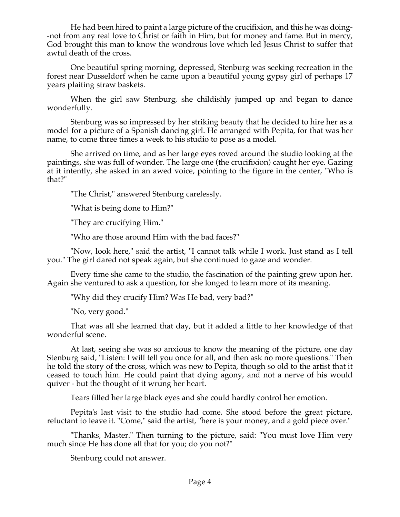He had been hired to paint a large picture of the crucifixion, and this he was doing- -not from any real love to Christ or faith in Him, but for money and fame. But in mercy, God brought this man to know the wondrous love which led Jesus Christ to suffer that awful death of the cross.

One beautiful spring morning, depressed, Stenburg was seeking recreation in the forest near Dusseldorf when he came upon a beautiful young gypsy girl of perhaps 17 years plaiting straw baskets.

When the girl saw Stenburg, she childishly jumped up and began to dance wonderfully.

Stenburg was so impressed by her striking beauty that he decided to hire her as a model for a picture of a Spanish dancing girl. He arranged with Pepita, for that was her name, to come three times a week to his studio to pose as a model.

She arrived on time, and as her large eyes roved around the studio looking at the paintings, she was full of wonder. The large one (the crucifixion) caught her eye. Gazing at it intently, she asked in an awed voice, pointing to the figure in the center, "Who is that?"

"The Christ," answered Stenburg carelessly.

"What is being done to Him?"

"They are crucifying Him."

"Who are those around Him with the bad faces?"

"Now, look here," said the artist, "I cannot talk while I work. Just stand as I tell you." The girl dared not speak again, but she continued to gaze and wonder.

Every time she came to the studio, the fascination of the painting grew upon her. Again she ventured to ask a question, for she longed to learn more of its meaning.

"Why did they crucify Him? Was He bad, very bad?"

"No, very good."

That was all she learned that day, but it added a little to her knowledge of that wonderful scene.

At last, seeing she was so anxious to know the meaning of the picture, one day Stenburg said, "Listen: I will tell you once for all, and then ask no more questions." Then he told the story of the cross, which was new to Pepita, though so old to the artist that it ceased to touch him. He could paint that dying agony, and not a nerve of his would quiver - but the thought of it wrung her heart.

Tears filled her large black eyes and she could hardly control her emotion.

Pepita's last visit to the studio had come. She stood before the great picture, reluctant to leave it. "Come," said the artist, "here is your money, and a gold piece over."

"Thanks, Master." Then turning to the picture, said: "You must love Him very much since He has done all that for you; do you not?"

Stenburg could not answer.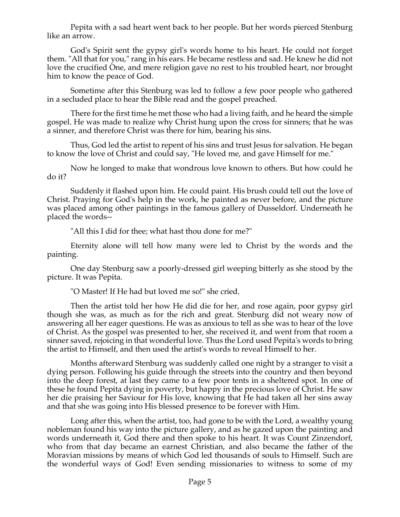Pepita with a sad heart went back to her people. But her words pierced Stenburg like an arrow.

God's Spirit sent the gypsy girl's words home to his heart. He could not forget them. "All that for you," rang in his ears. He became restless and sad. He knew he did not love the crucified One, and mere religion gave no rest to his troubled heart, nor brought him to know the peace of God.

Sometime after this Stenburg was led to follow a few poor people who gathered in a secluded place to hear the Bible read and the gospel preached.

There for the first time he met those who had a living faith, and he heard the simple gospel. He was made to realize why Christ hung upon the cross for sinners; that he was a sinner, and therefore Christ was there for him, bearing his sins.

Thus, God led the artist to repent of his sins and trust Jesus for salvation. He began to know the love of Christ and could say, "He loved me, and gave Himself for me."

Now he longed to make that wondrous love known to others. But how could he do it?

Suddenly it flashed upon him. He could paint. His brush could tell out the love of Christ. Praying for God's help in the work, he painted as never before, and the picture was placed among other paintings in the famous gallery of Dusseldorf. Underneath he placed the words--

"All this I did for thee; what hast thou done for me?"

Eternity alone will tell how many were led to Christ by the words and the painting.

One day Stenburg saw a poorly-dressed girl weeping bitterly as she stood by the picture. It was Pepita.

"O Master! If He had but loved me so!" she cried.

Then the artist told her how He did die for her, and rose again, poor gypsy girl though she was, as much as for the rich and great. Stenburg did not weary now of answering all her eager questions. He was as anxious to tell as she was to hear of the love of Christ. As the gospel was presented to her, she received it, and went from that room a sinner saved, rejoicing in that wonderful love. Thus the Lord used Pepita's words to bring the artist to Himself, and then used the artist's words to reveal Himself to her.

Months afterward Stenburg was suddenly called one night by a stranger to visit a dying person. Following his guide through the streets into the country and then beyond into the deep forest, at last they came to a few poor tents in a sheltered spot. In one of these he found Pepita dying in poverty, but happy in the precious love of Christ. He saw her die praising her Saviour for His love, knowing that He had taken all her sins away and that she was going into His blessed presence to be forever with Him.

Long after this, when the artist, too, had gone to be with the Lord, a wealthy young nobleman found his way into the picture gallery, and as he gazed upon the painting and words underneath it, God there and then spoke to his heart. It was Count Zinzendorf, who from that day became an earnest Christian, and also became the father of the Moravian missions by means of which God led thousands of souls to Himself. Such are the wonderful ways of God! Even sending missionaries to witness to some of my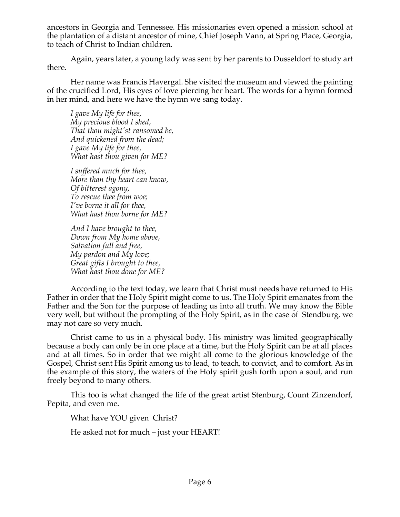ancestors in Georgia and Tennessee. His missionaries even opened a mission school at the plantation of a distant ancestor of mine, Chief Joseph Vann, at Spring Place, Georgia, to teach of Christ to Indian children.

Again, years later, a young lady was sent by her parents to Dusseldorf to study art there.

Her name was Francis Havergal. She visited the museum and viewed the painting of the crucified Lord, His eyes of love piercing her heart. The words for a hymn formed in her mind, and here we have the hymn we sang today.

*I gave My life for thee, My precious blood I shed, That thou might'st ransomed be, And quickened from the dead; I gave My life for thee, What hast thou given for ME?*

*I suffered much for thee, More than thy heart can know, Of bitterest agony, To rescue thee from woe; I've borne it all for thee, What hast thou borne for ME?*

*And I have brought to thee, Down from My home above, Salvation full and free, My pardon and My love; Great gifts I brought to thee, What hast thou done for ME?*

According to the text today, we learn that Christ must needs have returned to His Father in order that the Holy Spirit might come to us. The Holy Spirit emanates from the Father and the Son for the purpose of leading us into all truth. We may know the Bible very well, but without the prompting of the Holy Spirit, as in the case of Stendburg, we may not care so very much.

Christ came to us in a physical body. His ministry was limited geographically because a body can only be in one place at a time, but the Holy Spirit can be at all places and at all times. So in order that we might all come to the glorious knowledge of the Gospel, Christ sent His Spirit among us to lead, to teach, to convict, and to comfort. As in the example of this story, the waters of the Holy spirit gush forth upon a soul, and run freely beyond to many others.

This too is what changed the life of the great artist Stenburg, Count Zinzendorf, Pepita, and even me.

What have YOU given Christ?

He asked not for much – just your HEART!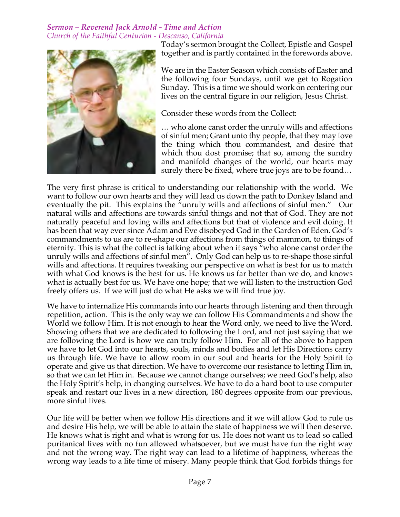# *Sermon – Reverend Jack Arnold - Time and Action Church of the Faithful Centurion - Descanso, California*



Today's sermon brought the Collect, Epistle and Gospel together and is partly contained in the forewords above.

We are in the Easter Season which consists of Easter and the following four Sundays, until we get to Rogation Sunday. This is a time we should work on centering our lives on the central figure in our religion, Jesus Christ.

Consider these words from the Collect:

… who alone canst order the unruly wills and affections of sinful men; Grant unto thy people, that they may love the thing which thou commandest, and desire that which thou dost promise; that so, among the sundry and manifold changes of the world, our hearts may surely there be fixed, where true joys are to be found…

The very first phrase is critical to understanding our relationship with the world. We want to follow our own hearts and they will lead us down the path to Donkey Island and eventually the pit. This explains the "unruly wills and affections of sinful men." Our natural wills and affections are towards sinful things and not that of God. They are not naturally peaceful and loving wills and affections but that of violence and evil doing. It has been that way ever since Adam and Eve disobeyed God in the Garden of Eden. God's commandments to us are to re-shape our affections from things of mammon, to things of eternity. This is what the collect is talking about when it says "who alone canst order the unruly wills and affections of sinful men". Only God can help us to re-shape those sinful wills and affections. It requires tweaking our perspective on what is best for us to match with what God knows is the best for us. He knows us far better than we do, and knows what is actually best for us. We have one hope; that we will listen to the instruction God freely offers us. If we will just do what He asks we will find true joy.

We have to internalize His commands into our hearts through listening and then through repetition, action. This is the only way we can follow His Commandments and show the World we follow Him. It is not enough to hear the Word only, we need to live the Word. Showing others that we are dedicated to following the Lord, and not just saying that we are following the Lord is how we can truly follow Him. For all of the above to happen we have to let God into our hearts, souls, minds and bodies and let His Directions carry us through life. We have to allow room in our soul and hearts for the Holy Spirit to operate and give us that direction. We have to overcome our resistance to letting Him in, so that we can let Him in. Because we cannot change ourselves; we need God's help, also the Holy Spirit's help, in changing ourselves. We have to do a hard boot to use computer speak and restart our lives in a new direction, 180 degrees opposite from our previous, more sinful lives.

Our life will be better when we follow His directions and if we will allow God to rule us and desire His help, we will be able to attain the state of happiness we will then deserve. He knows what is right and what is wrong for us. He does not want us to lead so called puritanical lives with no fun allowed whatsoever, but we must have fun the right way and not the wrong way. The right way can lead to a lifetime of happiness, whereas the wrong way leads to a life time of misery. Many people think that God forbids things for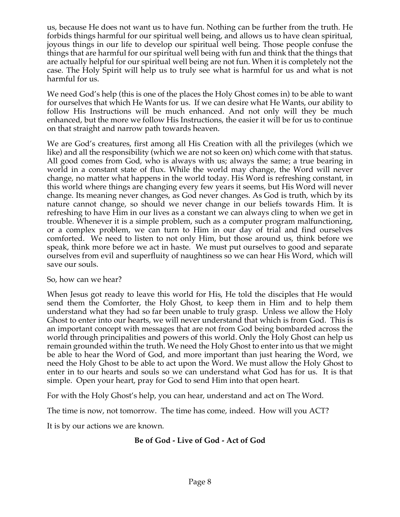us, because He does not want us to have fun. Nothing can be further from the truth. He forbids things harmful for our spiritual well being, and allows us to have clean spiritual, joyous things in our life to develop our spiritual well being. Those people confuse the things that are harmful for our spiritual well being with fun and think that the things that are actually helpful for our spiritual well being are not fun. When it is completely not the case. The Holy Spirit will help us to truly see what is harmful for us and what is not harmful for us.

We need God's help (this is one of the places the Holy Ghost comes in) to be able to want for ourselves that which He Wants for us. If we can desire what He Wants, our ability to follow His Instructions will be much enhanced. And not only will they be much enhanced, but the more we follow His Instructions, the easier it will be for us to continue on that straight and narrow path towards heaven.

We are God's creatures, first among all His Creation with all the privileges (which we like) and all the responsibility (which we are not so keen on) which come with that status. All good comes from God, who is always with us; always the same; a true bearing in world in a constant state of flux. While the world may change, the Word will never change, no matter what happens in the world today. His Word is refreshing constant, in this world where things are changing every few years it seems, but His Word will never change. Its meaning never changes, as God never changes. As God is truth, which by its nature cannot change, so should we never change in our beliefs towards Him. It is refreshing to have Him in our lives as a constant we can always cling to when we get in trouble. Whenever it is a simple problem, such as a computer program malfunctioning, or a complex problem, we can turn to Him in our day of trial and find ourselves comforted. We need to listen to not only Him, but those around us, think before we speak, think more before we act in haste. We must put ourselves to good and separate ourselves from evil and superfluity of naughtiness so we can hear His Word, which will save our souls.

# So, how can we hear?

When Jesus got ready to leave this world for His, He told the disciples that He would send them the Comforter, the Holy Ghost, to keep them in Him and to help them understand what they had so far been unable to truly grasp. Unless we allow the Holy Ghost to enter into our hearts, we will never understand that which is from God. This is an important concept with messages that are not from God being bombarded across the world through principalities and powers of this world. Only the Holy Ghost can help us remain grounded within the truth. We need the Holy Ghost to enter into us that we might be able to hear the Word of God, and more important than just hearing the Word, we need the Holy Ghost to be able to act upon the Word. We must allow the Holy Ghost to enter in to our hearts and souls so we can understand what God has for us. It is that simple. Open your heart, pray for God to send Him into that open heart.

For with the Holy Ghost's help, you can hear, understand and act on The Word.

The time is now, not tomorrow. The time has come, indeed. How will you ACT?

It is by our actions we are known.

# **Be of God - Live of God - Act of God**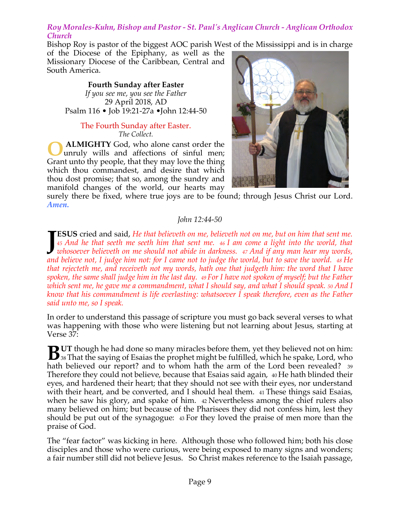# *Roy Morales-Kuhn, Bishop and Pastor - St. Paul's Anglican Church - Anglican Orthodox Church*

Bishop Roy is pastor of the biggest AOC parish West of the Mississippi and is in charge

of the Diocese of the Epiphany, as well as the Missionary Diocese of the Caribbean, Central and South America.

> **Fourth Sunday after Easter** *If you see me, you see the Father* 29 April 2018, AD Psalm 116 • Job 19:21-27a •John 12:44-50

#### The Fourth Sunday after Easter. *The Collect.*

**ALMIGHTY** God, who alone canst order the unruly wills and affections of sinful men; Grant unto thy people, that they may love the thing which thou commandest, and desire that which thou dost promise; that so, among the sundry and manifold changes of the world, our hearts may **O**



surely there be fixed, where true joys are to be found; through Jesus Christ our Lord. *Amen.*

### *John 12:44-50*

**ESUS** cried and said, *He that believeth on me, believeth not on me, but on him that sent me. 45 And he that seeth me seeth him that sent me. 46 I am come a light into the world, that whosoever believeth on me should not abide in darkness. 47 And if any man hear my words, and believe not, I judge him not: for I came not to judge the world, but to save the world. 48 He that rejecteth me, and receiveth not my words, hath one that judgeth him: the word that I have spoken, the same shall judge him in the last day. 49 For I have not spoken of myself; but the Father which sent me, he gave me a commandment, what I should say, and what I should speak. 50 And I know that his commandment is life everlasting: whatsoever I speak therefore, even as the Father said unto me, so I speak.* **J**

In order to understand this passage of scripture you must go back several verses to what was happening with those who were listening but not learning about Jesus, starting at Verse 37:

**UT** though he had done so many miracles before them, yet they believed not on him: **B**UT though he had done so many miracles before them, yet they believed not on him:<br>38 That the saying of Esaias the prophet might be fulfilled, which he spake, Lord, who had hall helianced are monoth and to whom hath the hath believed our report? and to whom hath the arm of the Lord been revealed? 39 Therefore they could not believe, because that Esaias said again, 40 He hath blinded their eyes, and hardened their heart; that they should not see with their eyes, nor understand with their heart, and be converted, and I should heal them. 41 These things said Esaias, when he saw his glory, and spake of him.  $\alpha$  Nevertheless among the chief rulers also many believed on him; but because of the Pharisees they did not confess him, lest they should be put out of the synagogue: 43 For they loved the praise of men more than the praise of God.

The "fear factor" was kicking in here. Although those who followed him; both his close disciples and those who were curious, were being exposed to many signs and wonders; a fair number still did not believe Jesus. So Christ makes reference to the Isaiah passage,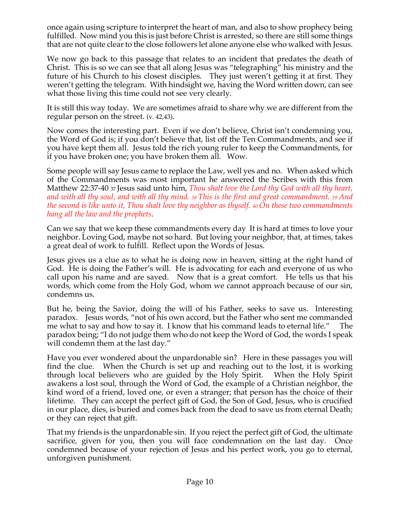once again using scripture to interpret the heart of man, and also to show prophecy being fulfilled. Now mind you this is just before Christ is arrested, so there are still some things that are not quite clear to the close followers let alone anyone else who walked with Jesus.

We now go back to this passage that relates to an incident that predates the death of Christ. This is so we can see that all along Jesus was "telegraphing" his ministry and the future of his Church to his closest disciples. They just weren't getting it at first. They weren't getting the telegram. With hindsight we, having the Word written down, can see what those living this time could not see very clearly.

It is still this way today. We are sometimes afraid to share why we are different from the regular person on the street. (v. 42,43).

Now comes the interesting part. Even if we don't believe, Christ isn't condemning you, the Word of God is; if you don't believe that, list off the Ten Commandments, and see if you have kept them all. Jesus told the rich young ruler to keep the Commandments, for if you have broken one; you have broken them all. Wow.

Some people will say Jesus came to replace the Law, well yes and no. When asked which of the Commandments was most important he answered the Scribes with this from Matthew 22:37-40 37 Jesus said unto him, *Thou shalt love the Lord thy God with all thy heart, and with all thy soul, and with all thy mind. 38 This is the first and great commandment. 39 And the second is like unto it, Thou shalt love thy neighbor as thyself. 40 On these two commandments hang all the law and the prophets*.

Can we say that we keep these commandments every day It is hard at times to love your neighbor. Loving God, maybe not so hard. But loving your neighbor, that, at times, takes a great deal of work to fulfill. Reflect upon the Words of Jesus.

Jesus gives us a clue as to what he is doing now in heaven, sitting at the right hand of God. He is doing the Father's will. He is advocating for each and everyone of us who call upon his name and are saved. Now that is a great comfort. He tells us that his words, which come from the Holy God, whom we cannot approach because of our sin, condemns us.

But he, being the Savior, doing the will of his Father, seeks to save us. Interesting paradox. Jesus words, "not of his own accord, but the Father who sent me commanded me what to say and how to say it. I know that his command leads to eternal life." The paradox being; "I do not judge them who do not keep the Word of God, the words I speak will condemn them at the last day."

Have you ever wondered about the unpardonable sin? Here in these passages you will find the clue. When the Church is set up and reaching out to the lost, it is working through local believers who are guided by the Holy Spirit. When the Holy Spirit awakens a lost soul, through the Word of God, the example of a Christian neighbor, the kind word of a friend, loved one, or even a stranger; that person has the choice of their lifetime. They can accept the perfect gift of God, the Son of God, Jesus, who is crucified in our place, dies, is buried and comes back from the dead to save us from eternal Death; or they can reject that gift.

That my friends is the unpardonable sin. If you reject the perfect gift of God, the ultimate sacrifice, given for you, then you will face condemnation on the last day. Once condemned because of your rejection of Jesus and his perfect work, you go to eternal, unforgiven punishment.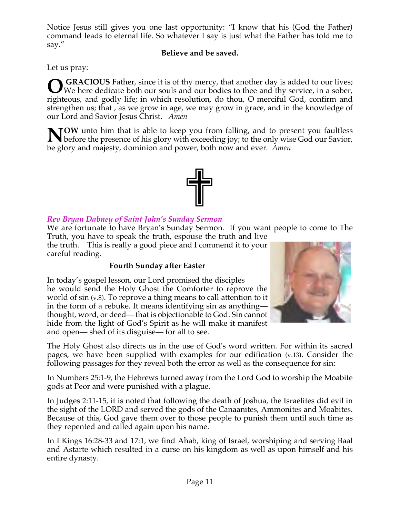Notice Jesus still gives you one last opportunity: "I know that his (God the Father) command leads to eternal life. So whatever I say is just what the Father has told me to say."

# **Believe and be saved.**

Let us pray:

**GRACIOUS** Father, since it is of thy mercy, that another day is added to our lives; GRACIOUS Father, since it is of thy mercy, that another day is added to our lives;<br>We here dedicate both our souls and our bodies to thee and thy service, in a sober, righteous, and godly life; in which resolution, do thou, O merciful God, confirm and strengthen us; that , as we grow in age, we may grow in grace, and in the knowledge of our Lord and Savior Jesus Christ. *Amen*

**TOW** unto him that is able to keep you from falling, and to present you faultless **NOW** unto him that is able to keep you from falling, and to present you faultless before the presence of his glory with exceeding joy; to the only wise God our Savior, be glory and majesty, dominion and power, both now and ever. *Amen*



# *Rev Bryan Dabney of Saint John's Sunday Sermon*

We are fortunate to have Bryan's Sunday Sermon. If you want people to come to The Truth, you have to speak the truth, espouse the truth and live

the truth. This is really a good piece and I commend it to your careful reading.

# **Fourth Sunday after Easter**

In today's gospel lesson, our Lord promised the disciples he would send the Holy Ghost the Comforter to reprove the world of sin (v.8). To reprove a thing means to call attention to it in the form of a rebuke. It means identifying sin as anything thought, word, or deed— that is objectionable to God. Sin cannot hide from the light of God's Spirit as he will make it manifest and open— shed of its disguise— for all to see.



The Holy Ghost also directs us in the use of God's word written. For within its sacred pages, we have been supplied with examples for our edification (v.13). Consider the following passages for they reveal both the error as well as the consequence for sin:

In Numbers 25:1-9, the Hebrews turned away from the Lord God to worship the Moabite gods at Peor and were punished with a plague.

In Judges 2:11-15, it is noted that following the death of Joshua, the Israelites did evil in the sight of the LORD and served the gods of the Canaanites, Ammonites and Moabites. Because of this, God gave them over to those people to punish them until such time as they repented and called again upon his name.

In I Kings 16:28-33 and 17:1, we find Ahab, king of Israel, worshiping and serving Baal and Astarte which resulted in a curse on his kingdom as well as upon himself and his entire dynasty.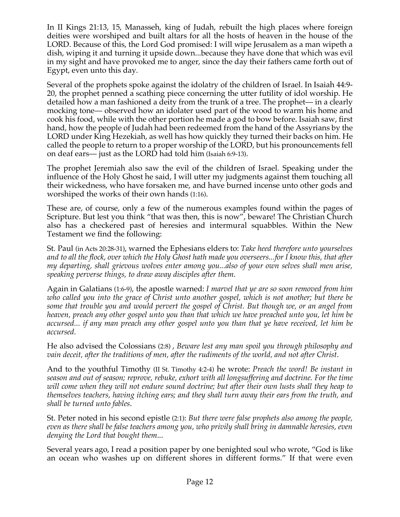In II Kings 21:13, 15, Manasseh, king of Judah, rebuilt the high places where foreign deities were worshiped and built altars for all the hosts of heaven in the house of the LORD. Because of this, the Lord God promised: I will wipe Jerusalem as a man wipeth a dish, wiping it and turning it upside down...because they have done that which was evil in my sight and have provoked me to anger, since the day their fathers came forth out of Egypt, even unto this day.

Several of the prophets spoke against the idolatry of the children of Israel. In Isaiah 44:9- 20, the prophet penned a scathing piece concerning the utter futility of idol worship. He detailed how a man fashioned a deity from the trunk of a tree. The prophet— in a clearly mocking tone— observed how an idolater used part of the wood to warm his home and cook his food, while with the other portion he made a god to bow before. Isaiah saw, first hand, how the people of Judah had been redeemed from the hand of the Assyrians by the LORD under King Hezekiah, as well has how quickly they turned their backs on him. He called the people to return to a proper worship of the LORD, but his pronouncements fell on deaf ears— just as the LORD had told him (Isaiah 6:9-13).

The prophet Jeremiah also saw the evil of the children of Israel. Speaking under the influence of the Holy Ghost he said, I will utter my judgments against them touching all their wickedness, who have forsaken me, and have burned incense unto other gods and worshiped the works of their own hands (1:16).

These are, of course, only a few of the numerous examples found within the pages of Scripture. But lest you think "that was then, this is now", beware! The Christian Church also has a checkered past of heresies and intermural squabbles. Within the New Testament we find the following:

St. Paul (in Acts 20:28-31), warned the Ephesians elders to: *Take heed therefore unto yourselves and to all the flock, over which the Holy Ghost hath made you overseers...for I know this, that after my departing, shall grievous wolves enter among you...also of your own selves shall men arise, speaking perverse things, to draw away disciples after them*.

Again in Galatians (1:6-9), the apostle warned: *I marvel that ye are so soon removed from him who called you into the grace of Christ unto another gospel, which is not another; but there be some that trouble you and would pervert the gospel of Christ. But though we, or an angel from heaven, preach any other gospel unto you than that which we have preached unto you, let him be accursed... if any man preach any other gospel unto you than that ye have received, let him be accursed.*

He also advised the Colossians (2:8) , *Beware lest any man spoil you through philosophy and vain deceit, after the traditions of men, after the rudiments of the world, and not after Christ.* 

And to the youthful Timothy (II St. Timothy 4:2-4) he wrote: *Preach the word! Be instant in season and out of season; reprove, rebuke, exhort with all longsuffering and doctrine. For the time will come when they will not endure sound doctrine; but after their own lusts shall they heap to themselves teachers, having itching ears; and they shall turn away their ears from the truth, and shall be turned unto fables*.

St. Peter noted in his second epistle (2:1): *But there were false prophets also among the people, even as there shall be false teachers among you, who privily shall bring in damnable heresies, even denying the Lord that bought them*...

Several years ago, I read a position paper by one benighted soul who wrote, "God is like an ocean who washes up on different shores in different forms." If that were even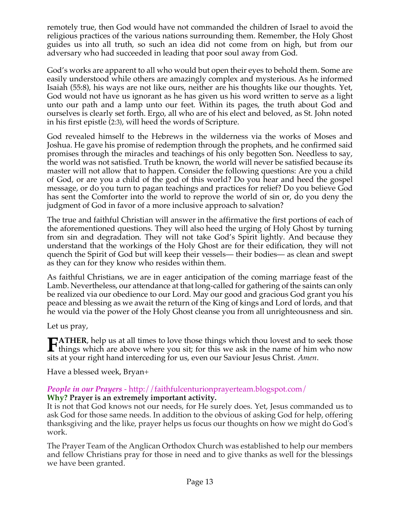remotely true, then God would have not commanded the children of Israel to avoid the religious practices of the various nations surrounding them. Remember, the Holy Ghost guides us into all truth, so such an idea did not come from on high, but from our adversary who had succeeded in leading that poor soul away from God.

God's works are apparent to all who would but open their eyes to behold them. Some are easily understood while others are amazingly complex and mysterious. As he informed Isaiah (55:8), his ways are not like ours, neither are his thoughts like our thoughts. Yet, God would not have us ignorant as he has given us his word written to serve as a light unto our path and a lamp unto our feet. Within its pages, the truth about God and ourselves is clearly set forth. Ergo, all who are of his elect and beloved, as St. John noted in his first epistle (2:3), will heed the words of Scripture.

God revealed himself to the Hebrews in the wilderness via the works of Moses and Joshua. He gave his promise of redemption through the prophets, and he confirmed said promises through the miracles and teachings of his only begotten Son. Needless to say, the world was not satisfied. Truth be known, the world will never be satisfied because its master will not allow that to happen. Consider the following questions: Are you a child of God, or are you a child of the god of this world? Do you hear and heed the gospel message, or do you turn to pagan teachings and practices for relief? Do you believe God has sent the Comforter into the world to reprove the world of sin or, do you deny the judgment of God in favor of a more inclusive approach to salvation?

The true and faithful Christian will answer in the affirmative the first portions of each of the aforementioned questions. They will also heed the urging of Holy Ghost by turning from sin and degradation. They will not take God's Spirit lightly. And because they understand that the workings of the Holy Ghost are for their edification, they will not quench the Spirit of God but will keep their vessels— their bodies— as clean and swept as they can for they know who resides within them.

As faithful Christians, we are in eager anticipation of the coming marriage feast of the Lamb. Nevertheless, our attendance at that long-called for gathering of the saints can only be realized via our obedience to our Lord. May our good and gracious God grant you his peace and blessing as we await the return of the King of kings and Lord of lords, and that he would via the power of the Holy Ghost cleanse you from all unrighteousness and sin.

Let us pray,

**ATHER**, help us at all times to love those things which thou lovest and to seek those **TATHER**, help us at all times to love those things which thou lovest and to seek those things which are above where you sit; for this we ask in the name of him who now site at require the distance direction of the set of sits at your right hand interceding for us, even our Saviour Jesus Christ. *Amen*.

Have a blessed week, Bryan+

# *People in our Prayers* - http://faithfulcenturionprayerteam.blogspot.com/

#### **Why? Prayer is an extremely important activity.**

It is not that God knows not our needs, for He surely does. Yet, Jesus commanded us to ask God for those same needs. In addition to the obvious of asking God for help, offering thanksgiving and the like, prayer helps us focus our thoughts on how we might do God's work.

The Prayer Team of the Anglican Orthodox Church was established to help our members and fellow Christians pray for those in need and to give thanks as well for the blessings we have been granted.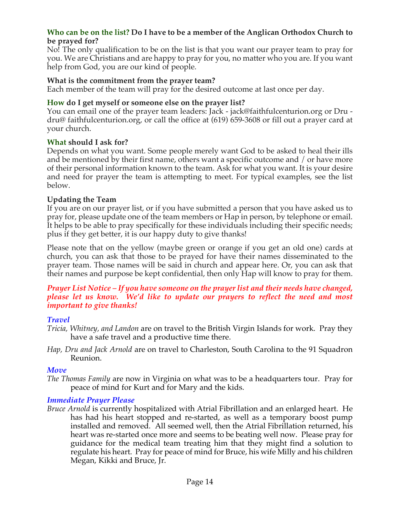#### **Who can be on the list? Do I have to be a member of the Anglican Orthodox Church to be prayed for?**

No! The only qualification to be on the list is that you want our prayer team to pray for you. We are Christians and are happy to pray for you, no matter who you are. If you want help from God, you are our kind of people.

#### **What is the commitment from the prayer team?**

Each member of the team will pray for the desired outcome at last once per day.

#### **How do I get myself or someone else on the prayer list?**

You can email one of the prayer team leaders: Jack - jack@faithfulcenturion.org or Dru dru@ faithfulcenturion.org, or call the office at (619) 659-3608 or fill out a prayer card at your church.

#### **What should I ask for?**

Depends on what you want. Some people merely want God to be asked to heal their ills and be mentioned by their first name, others want a specific outcome and / or have more of their personal information known to the team. Ask for what you want. It is your desire and need for prayer the team is attempting to meet. For typical examples, see the list below.

#### **Updating the Team**

If you are on our prayer list, or if you have submitted a person that you have asked us to pray for, please update one of the team members or Hap in person, by telephone or email. It helps to be able to pray specifically for these individuals including their specific needs; plus if they get better, it is our happy duty to give thanks!

Please note that on the yellow (maybe green or orange if you get an old one) cards at church, you can ask that those to be prayed for have their names disseminated to the prayer team. Those names will be said in church and appear here. Or, you can ask that their names and purpose be kept confidential, then only Hap will know to pray for them.

#### *Prayer List Notice – If you have someone on the prayer list and their needs have changed, please let us know. We'd like to update our prayers to reflect the need and most important to give thanks!*

#### *Travel*

- *Tricia, Whitney, and Landon* are on travel to the British Virgin Islands for work. Pray they have a safe travel and a productive time there.
- *Hap, Dru and Jack Arnold* are on travel to Charleston, South Carolina to the 91 Squadron Reunion.

#### *Move*

*The Thomas Family* are now in Virginia on what was to be a headquarters tour. Pray for peace of mind for Kurt and for Mary and the kids.

#### *Immediate Prayer Please*

*Bruce Arnold* is currently hospitalized with Atrial Fibrillation and an enlarged heart. He has had his heart stopped and re-started, as well as a temporary boost pump installed and removed. All seemed well, then the Atrial Fibrillation returned, his heart was re-started once more and seems to be beating well now. Please pray for guidance for the medical team treating him that they might find a solution to regulate his heart. Pray for peace of mind for Bruce, his wife Milly and his children Megan, Kikki and Bruce, Jr.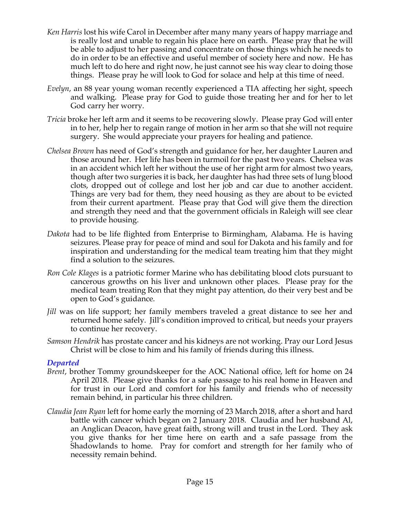- *Ken Harris* lost his wife Carol in December after many many years of happy marriage and is really lost and unable to regain his place here on earth. Please pray that he will be able to adjust to her passing and concentrate on those things which he needs to do in order to be an effective and useful member of society here and now. He has much left to do here and right now, he just cannot see his way clear to doing those things. Please pray he will look to God for solace and help at this time of need.
- *Evelyn*, an 88 year young woman recently experienced a TIA affecting her sight, speech and walking. Please pray for God to guide those treating her and for her to let God carry her worry.
- *Tricia* broke her left arm and it seems to be recovering slowly. Please pray God will enter in to her, help her to regain range of motion in her arm so that she will not require surgery. She would appreciate your prayers for healing and patience.
- *Chelsea Brown* has need of God's strength and guidance for her, her daughter Lauren and those around her. Her life has been in turmoil for the past two years. Chelsea was in an accident which left her without the use of her right arm for almost two years, though after two surgeries it is back, her daughter has had three sets of lung blood clots, dropped out of college and lost her job and car due to another accident. Things are very bad for them, they need housing as they are about to be evicted from their current apartment. Please pray that God will give them the direction and strength they need and that the government officials in Raleigh will see clear to provide housing.
- *Dakota* had to be life flighted from Enterprise to Birmingham, Alabama. He is having seizures. Please pray for peace of mind and soul for Dakota and his family and for inspiration and understanding for the medical team treating him that they might find a solution to the seizures.
- *Ron Cole Klages* is a patriotic former Marine who has debilitating blood clots pursuant to cancerous growths on his liver and unknown other places. Please pray for the medical team treating Ron that they might pay attention, do their very best and be open to God's guidance.
- *Jill* was on life support; her family members traveled a great distance to see her and returned home safely. Jill's condition improved to critical, but needs your prayers to continue her recovery.
- *Samson Hendrik* has prostate cancer and his kidneys are not working. Pray our Lord Jesus Christ will be close to him and his family of friends during this illness.

#### *Departed*

- *Brent*, brother Tommy groundskeeper for the AOC National office, left for home on 24 April 2018. Please give thanks for a safe passage to his real home in Heaven and for trust in our Lord and comfort for his family and friends who of necessity remain behind, in particular his three children.
- *Claudia Jean Ryan* left for home early the morning of 23 March 2018, after a short and hard battle with cancer which began on 2 January 2018. Claudia and her husband Al, an Anglican Deacon, have great faith, strong will and trust in the Lord. They ask you give thanks for her time here on earth and a safe passage from the Shadowlands to home. Pray for comfort and strength for her family who of necessity remain behind.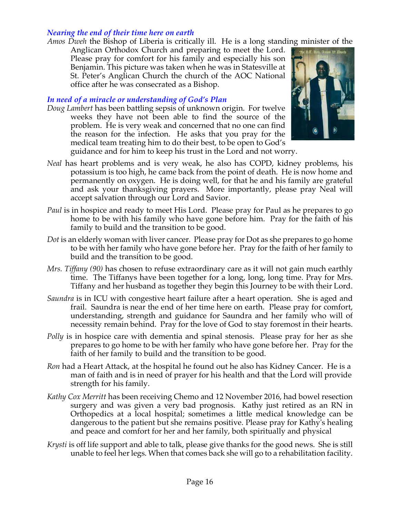### *Nearing the end of their time here on earth*

*Amos Dweh* the Bishop of Liberia is critically ill. He is a long standing minister of the

Anglican Orthodox Church and preparing to meet the Lord. Please pray for comfort for his family and especially his son Benjamin. This picture was taken when he was in Statesville at St. Peter's Anglican Church the church of the AOC National office after he was consecrated as a Bishop.

# *In need of a miracle or understanding of God's Plan*

*Doug Lambert* has been battling sepsis of unknown origin. For twelve weeks they have not been able to find the source of the problem. He is very weak and concerned that no one can find the reason for the infection. He asks that you pray for the medical team treating him to do their best, to be open to God's guidance and for him to keep his trust in the Lord and not worry.



- *Neal* has heart problems and is very weak, he also has COPD, kidney problems, his potassium is too high, he came back from the point of death. He is now home and permanently on oxygen. He is doing well, for that he and his family are grateful and ask your thanksgiving prayers. More importantly, please pray Neal will accept salvation through our Lord and Savior.
- *Paul* is in hospice and ready to meet His Lord. Please pray for Paul as he prepares to go home to be with his family who have gone before him. Pray for the faith of his family to build and the transition to be good.
- *Dot* is an elderly woman with liver cancer. Please pray for Dot as she prepares to go home to be with her family who have gone before her. Pray for the faith of her family to build and the transition to be good.
- *Mrs. Tiffany (90)* has chosen to refuse extraordinary care as it will not gain much earthly time. The Tiffanys have been together for a long, long, long time. Pray for Mrs. Tiffany and her husband as together they begin this Journey to be with their Lord.
- *Saundra* is in ICU with congestive heart failure after a heart operation. She is aged and frail. Saundra is near the end of her time here on earth. Please pray for comfort, understanding, strength and guidance for Saundra and her family who will of necessity remain behind. Pray for the love of God to stay foremost in their hearts.
- *Polly* is in hospice care with dementia and spinal stenosis. Please pray for her as she prepares to go home to be with her family who have gone before her. Pray for the faith of her family to build and the transition to be good.
- *Ron* had a Heart Attack, at the hospital he found out he also has Kidney Cancer. He is a man of faith and is in need of prayer for his health and that the Lord will provide strength for his family.
- *Kathy Cox Merritt* has been receiving Chemo and 12 November 2016, had bowel resection surgery and was given a very bad prognosis. Kathy just retired as an RN in Orthopedics at a local hospital; sometimes a little medical knowledge can be dangerous to the patient but she remains positive. Please pray for Kathy's healing and peace and comfort for her and her family, both spiritually and physical
- *Krysti* is off life support and able to talk, please give thanks for the good news. She is still unable to feel her legs. When that comes back she will go to a rehabilitation facility.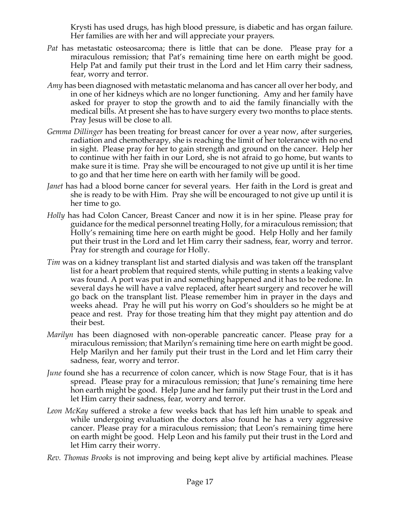Krysti has used drugs, has high blood pressure, is diabetic and has organ failure. Her families are with her and will appreciate your prayers.

- *Pat* has metastatic osteosarcoma; there is little that can be done. Please pray for a miraculous remission; that Pat's remaining time here on earth might be good. Help Pat and family put their trust in the Lord and let Him carry their sadness, fear, worry and terror.
- *Amy* has been diagnosed with metastatic melanoma and has cancer all over her body, and in one of her kidneys which are no longer functioning. Amy and her family have asked for prayer to stop the growth and to aid the family financially with the medical bills. At present she has to have surgery every two months to place stents. Pray Jesus will be close to all.
- *Gemma Dillinger* has been treating for breast cancer for over a year now, after surgeries, radiation and chemotherapy, she is reaching the limit of her tolerance with no end in sight. Please pray for her to gain strength and ground on the cancer. Help her to continue with her faith in our Lord, she is not afraid to go home, but wants to make sure it is time. Pray she will be encouraged to not give up until it is her time to go and that her time here on earth with her family will be good.
- *Janet* has had a blood borne cancer for several years. Her faith in the Lord is great and she is ready to be with Him. Pray she will be encouraged to not give up until it is her time to go.
- *Holly* has had Colon Cancer, Breast Cancer and now it is in her spine. Please pray for guidance for the medical personnel treating Holly, for a miraculous remission; that Holly's remaining time here on earth might be good. Help Holly and her family put their trust in the Lord and let Him carry their sadness, fear, worry and terror. Pray for strength and courage for Holly.
- *Tim* was on a kidney transplant list and started dialysis and was taken off the transplant list for a heart problem that required stents, while putting in stents a leaking valve was found. A port was put in and something happened and it has to be redone. In several days he will have a valve replaced, after heart surgery and recover he will go back on the transplant list. Please remember him in prayer in the days and weeks ahead. Pray he will put his worry on God's shoulders so he might be at peace and rest. Pray for those treating him that they might pay attention and do their best.
- *Marilyn* has been diagnosed with non-operable pancreatic cancer. Please pray for a miraculous remission; that Marilyn's remaining time here on earth might be good. Help Marilyn and her family put their trust in the Lord and let Him carry their sadness, fear, worry and terror.
- *June* found she has a recurrence of colon cancer, which is now Stage Four, that is it has spread. Please pray for a miraculous remission; that June's remaining time here hon earth might be good. Help June and her family put their trust in the Lord and let Him carry their sadness, fear, worry and terror.
- *Leon McKay* suffered a stroke a few weeks back that has left him unable to speak and while undergoing evaluation the doctors also found he has a very aggressive cancer. Please pray for a miraculous remission; that Leon's remaining time here on earth might be good. Help Leon and his family put their trust in the Lord and let Him carry their worry.
- *Rev. Thomas Brooks* is not improving and being kept alive by artificial machines. Please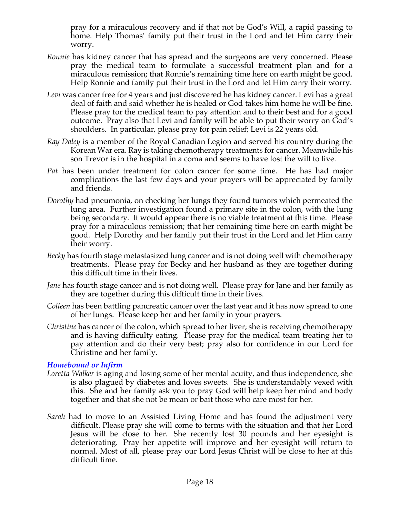pray for a miraculous recovery and if that not be God's Will, a rapid passing to home. Help Thomas' family put their trust in the Lord and let Him carry their worry.

- *Ronnie* has kidney cancer that has spread and the surgeons are very concerned. Please pray the medical team to formulate a successful treatment plan and for a miraculous remission; that Ronnie's remaining time here on earth might be good. Help Ronnie and family put their trust in the Lord and let Him carry their worry.
- Levi was cancer free for 4 years and just discovered he has kidney cancer. Levi has a great deal of faith and said whether he is healed or God takes him home he will be fine. Please pray for the medical team to pay attention and to their best and for a good outcome. Pray also that Levi and family will be able to put their worry on God's shoulders. In particular, please pray for pain relief; Levi is 22 years old.
- *Ray Daley* is a member of the Royal Canadian Legion and served his country during the Korean War era. Ray is taking chemotherapy treatments for cancer. Meanwhile his son Trevor is in the hospital in a coma and seems to have lost the will to live.
- *Pat* has been under treatment for colon cancer for some time. He has had major complications the last few days and your prayers will be appreciated by family and friends.
- *Dorothy* had pneumonia, on checking her lungs they found tumors which permeated the lung area. Further investigation found a primary site in the colon, with the lung being secondary. It would appear there is no viable treatment at this time. Please pray for a miraculous remission; that her remaining time here on earth might be good. Help Dorothy and her family put their trust in the Lord and let Him carry their worry.
- *Becky* has fourth stage metastasized lung cancer and is not doing well with chemotherapy treatments. Please pray for Becky and her husband as they are together during this difficult time in their lives.
- *Jane* has fourth stage cancer and is not doing well. Please pray for Jane and her family as they are together during this difficult time in their lives.
- *Colleen* has been battling pancreatic cancer over the last year and it has now spread to one of her lungs. Please keep her and her family in your prayers.
- *Christine* has cancer of the colon, which spread to her liver; she is receiving chemotherapy and is having difficulty eating. Please pray for the medical team treating her to pay attention and do their very best; pray also for confidence in our Lord for Christine and her family.

#### *Homebound or Infirm*

- *Loretta Walker* is aging and losing some of her mental acuity, and thus independence, she is also plagued by diabetes and loves sweets. She is understandably vexed with this. She and her family ask you to pray God will help keep her mind and body together and that she not be mean or bait those who care most for her.
- *Sarah* had to move to an Assisted Living Home and has found the adjustment very difficult. Please pray she will come to terms with the situation and that her Lord Jesus will be close to her. She recently lost 30 pounds and her eyesight is deteriorating. Pray her appetite will improve and her eyesight will return to normal. Most of all, please pray our Lord Jesus Christ will be close to her at this difficult time.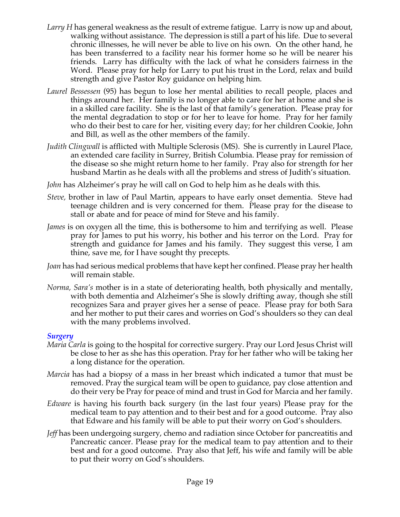- *Larry H* has general weakness as the result of extreme fatigue. Larry is now up and about, walking without assistance. The depression is still a part of his life. Due to several chronic illnesses, he will never be able to live on his own. On the other hand, he has been transferred to a facility near his former home so he will be nearer his friends. Larry has difficulty with the lack of what he considers fairness in the Word. Please pray for help for Larry to put his trust in the Lord, relax and build strength and give Pastor Roy guidance on helping him.
- *Laurel Bessessen* (95) has begun to lose her mental abilities to recall people, places and things around her. Her family is no longer able to care for her at home and she is in a skilled care facility. She is the last of that family's generation. Please pray for the mental degradation to stop or for her to leave for home. Pray for her family who do their best to care for her, visiting every day; for her children Cookie, John and Bill, as well as the other members of the family.
- *Judith Clingwall* is afflicted with Multiple Sclerosis (MS). She is currently in Laurel Place, an extended care facility in Surrey, British Columbia. Please pray for remission of the disease so she might return home to her family. Pray also for strength for her husband Martin as he deals with all the problems and stress of Judith's situation.
- *John* has Alzheimer's pray he will call on God to help him as he deals with this.
- *Steve,* brother in law of Paul Martin, appears to have early onset dementia. Steve had teenage children and is very concerned for them. Please pray for the disease to stall or abate and for peace of mind for Steve and his family.
- *James* is on oxygen all the time, this is bothersome to him and terrifying as well. Please pray for James to put his worry, his bother and his terror on the Lord. Pray for strength and guidance for James and his family. They suggest this verse, I am thine, save me, for I have sought thy precepts.
- *Joan* has had serious medical problems that have kept her confined. Please pray her health will remain stable.
- *Norma, Sara's* mother is in a state of deteriorating health, both physically and mentally, with both dementia and Alzheimer's She is slowly drifting away, though she still recognizes Sara and prayer gives her a sense of peace. Please pray for both Sara and her mother to put their cares and worries on God's shoulders so they can deal with the many problems involved.

#### *Surgery*

- *Maria Carla* is going to the hospital for corrective surgery. Pray our Lord Jesus Christ will be close to her as she has this operation. Pray for her father who will be taking her a long distance for the operation.
- *Marcia* has had a biopsy of a mass in her breast which indicated a tumor that must be removed. Pray the surgical team will be open to guidance, pay close attention and do their very be Pray for peace of mind and trust in God for Marcia and her family.
- *Edware* is having his fourth back surgery (in the last four years) Please pray for the medical team to pay attention and to their best and for a good outcome. Pray also that Edware and his family will be able to put their worry on God's shoulders.
- *Jeff* has been undergoing surgery, chemo and radiation since October for pancreatitis and Pancreatic cancer. Please pray for the medical team to pay attention and to their best and for a good outcome. Pray also that Jeff, his wife and family will be able to put their worry on God's shoulders.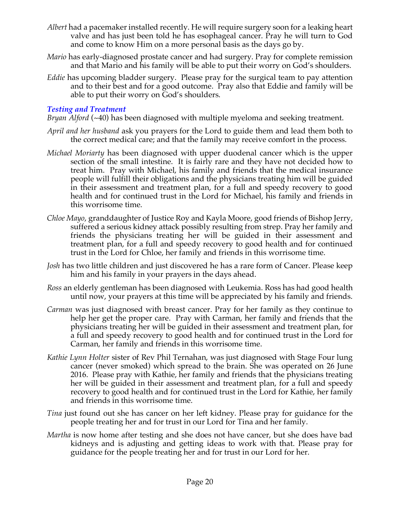- *Albert* had a pacemaker installed recently. He will require surgery soon for a leaking heart valve and has just been told he has esophageal cancer. Pray he will turn to God and come to know Him on a more personal basis as the days go by.
- *Mario* has early-diagnosed prostate cancer and had surgery. Pray for complete remission and that Mario and his family will be able to put their worry on God's shoulders.
- *Eddie* has upcoming bladder surgery. Please pray for the surgical team to pay attention and to their best and for a good outcome. Pray also that Eddie and family will be able to put their worry on God's shoulders.

### *Testing and Treatment*

*Bryan Alford* (~40) has been diagnosed with multiple myeloma and seeking treatment.

- *April and her husband* ask you prayers for the Lord to guide them and lead them both to the correct medical care; and that the family may receive comfort in the process.
- *Michael Moriarty* has been diagnosed with upper duodenal cancer which is the upper section of the small intestine. It is fairly rare and they have not decided how to treat him. Pray with Michael, his family and friends that the medical insurance people will fulfill their obligations and the physicians treating him will be guided in their assessment and treatment plan, for a full and speedy recovery to good health and for continued trust in the Lord for Michael, his family and friends in this worrisome time.
- *Chloe Mayo*, granddaughter of Justice Roy and Kayla Moore, good friends of Bishop Jerry, suffered a serious kidney attack possibly resulting from strep. Pray her family and friends the physicians treating her will be guided in their assessment and treatment plan, for a full and speedy recovery to good health and for continued trust in the Lord for Chloe, her family and friends in this worrisome time.
- *Josh* has two little children and just discovered he has a rare form of Cancer. Please keep him and his family in your prayers in the days ahead.
- *Ross* an elderly gentleman has been diagnosed with Leukemia. Ross has had good health until now, your prayers at this time will be appreciated by his family and friends.
- *Carman* was just diagnosed with breast cancer. Pray for her family as they continue to help her get the proper care. Pray with Carman, her family and friends that the physicians treating her will be guided in their assessment and treatment plan, for a full and speedy recovery to good health and for continued trust in the Lord for Carman, her family and friends in this worrisome time.
- *Kathie Lynn Holter* sister of Rev Phil Ternahan, was just diagnosed with Stage Four lung cancer (never smoked) which spread to the brain. She was operated on 26 June 2016. Please pray with Kathie, her family and friends that the physicians treating her will be guided in their assessment and treatment plan, for a full and speedy recovery to good health and for continued trust in the Lord for Kathie, her family and friends in this worrisome time.
- *Tina* just found out she has cancer on her left kidney. Please pray for guidance for the people treating her and for trust in our Lord for Tina and her family.
- *Martha* is now home after testing and she does not have cancer, but she does have bad kidneys and is adjusting and getting ideas to work with that. Please pray for guidance for the people treating her and for trust in our Lord for her.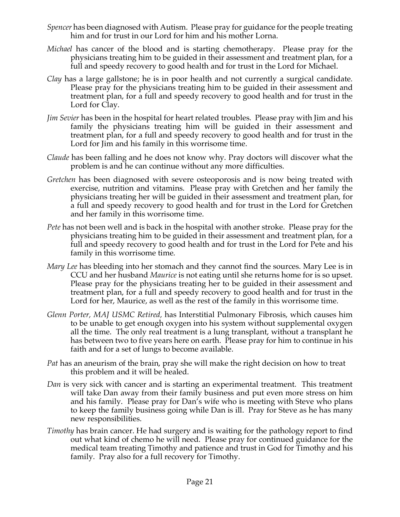- *Spencer* has been diagnosed with Autism. Please pray for guidance for the people treating him and for trust in our Lord for him and his mother Lorna.
- *Michael* has cancer of the blood and is starting chemotherapy. Please pray for the physicians treating him to be guided in their assessment and treatment plan, for a full and speedy recovery to good health and for trust in the Lord for Michael.
- *Clay* has a large gallstone; he is in poor health and not currently a surgical candidate. Please pray for the physicians treating him to be guided in their assessment and treatment plan, for a full and speedy recovery to good health and for trust in the Lord for Clay.
- *Jim Sevier* has been in the hospital for heart related troubles. Please pray with Jim and his family the physicians treating him will be guided in their assessment and treatment plan, for a full and speedy recovery to good health and for trust in the Lord for Jim and his family in this worrisome time.
- *Claude* has been falling and he does not know why. Pray doctors will discover what the problem is and he can continue without any more difficulties.
- *Gretchen* has been diagnosed with severe osteoporosis and is now being treated with exercise, nutrition and vitamins. Please pray with Gretchen and her family the physicians treating her will be guided in their assessment and treatment plan, for a full and speedy recovery to good health and for trust in the Lord for Gretchen and her family in this worrisome time.
- *Pete* has not been well and is back in the hospital with another stroke. Please pray for the physicians treating him to be guided in their assessment and treatment plan, for a full and speedy recovery to good health and for trust in the Lord for Pete and his family in this worrisome time.
- *Mary Lee* has bleeding into her stomach and they cannot find the sources. Mary Lee is in CCU and her husband *Maurice* is not eating until she returns home for is so upset. Please pray for the physicians treating her to be guided in their assessment and treatment plan, for a full and speedy recovery to good health and for trust in the Lord for her, Maurice, as well as the rest of the family in this worrisome time.
- *Glenn Porter, MAJ USMC Retired,* has Interstitial Pulmonary Fibrosis, which causes him to be unable to get enough oxygen into his system without supplemental oxygen all the time. The only real treatment is a lung transplant, without a transplant he has between two to five years here on earth. Please pray for him to continue in his faith and for a set of lungs to become available.
- *Pat* has an aneurism of the brain, pray she will make the right decision on how to treat this problem and it will be healed.
- *Dan* is very sick with cancer and is starting an experimental treatment. This treatment will take Dan away from their family business and put even more stress on him and his family. Please pray for Dan's wife who is meeting with Steve who plans to keep the family business going while Dan is ill. Pray for Steve as he has many new responsibilities.
- *Timothy* has brain cancer. He had surgery and is waiting for the pathology report to find out what kind of chemo he will need. Please pray for continued guidance for the medical team treating Timothy and patience and trust in God for Timothy and his family. Pray also for a full recovery for Timothy.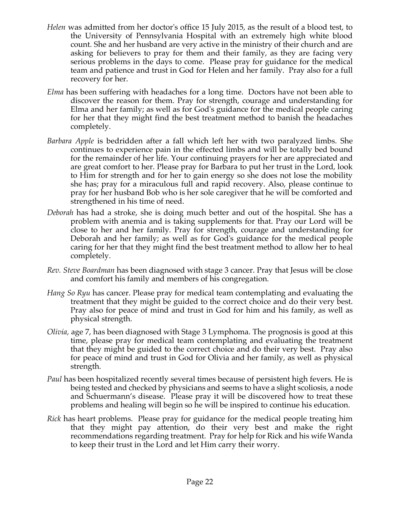- *Helen* was admitted from her doctor's office 15 July 2015, as the result of a blood test, to the University of Pennsylvania Hospital with an extremely high white blood count. She and her husband are very active in the ministry of their church and are asking for believers to pray for them and their family, as they are facing very serious problems in the days to come. Please pray for guidance for the medical team and patience and trust in God for Helen and her family. Pray also for a full recovery for her.
- *Elma* has been suffering with headaches for a long time. Doctors have not been able to discover the reason for them. Pray for strength, courage and understanding for Elma and her family; as well as for God's guidance for the medical people caring for her that they might find the best treatment method to banish the headaches completely.
- *Barbara Apple* is bedridden after a fall which left her with two paralyzed limbs. She continues to experience pain in the effected limbs and will be totally bed bound for the remainder of her life. Your continuing prayers for her are appreciated and are great comfort to her. Please pray for Barbara to put her trust in the Lord, look to Him for strength and for her to gain energy so she does not lose the mobility she has; pray for a miraculous full and rapid recovery. Also, please continue to pray for her husband Bob who is her sole caregiver that he will be comforted and strengthened in his time of need.
- *Deborah* has had a stroke, she is doing much better and out of the hospital. She has a problem with anemia and is taking supplements for that. Pray our Lord will be close to her and her family. Pray for strength, courage and understanding for Deborah and her family; as well as for God's guidance for the medical people caring for her that they might find the best treatment method to allow her to heal completely.
- *Rev. Steve Boardman* has been diagnosed with stage 3 cancer. Pray that Jesus will be close and comfort his family and members of his congregation*.*
- *Hang So Ryu* has cancer. Please pray for medical team contemplating and evaluating the treatment that they might be guided to the correct choice and do their very best. Pray also for peace of mind and trust in God for him and his family, as well as physical strength.
- *Olivia,* age 7, has been diagnosed with Stage 3 Lymphoma. The prognosis is good at this time, please pray for medical team contemplating and evaluating the treatment that they might be guided to the correct choice and do their very best. Pray also for peace of mind and trust in God for Olivia and her family, as well as physical strength.
- *Paul* has been hospitalized recently several times because of persistent high fevers. He is being tested and checked by physicians and seems to have a slight scoliosis, a node and Schuermann's disease. Please pray it will be discovered how to treat these problems and healing will begin so he will be inspired to continue his education.
- *Rick* has heart problems. Please pray for guidance for the medical people treating him that they might pay attention, do their very best and make the right recommendations regarding treatment. Pray for help for Rick and his wife Wanda to keep their trust in the Lord and let Him carry their worry.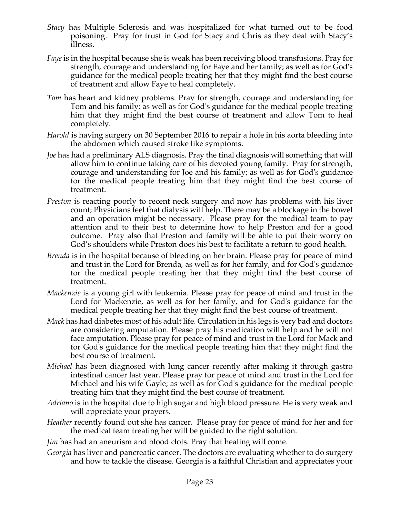- *Stacy* has Multiple Sclerosis and was hospitalized for what turned out to be food poisoning. Pray for trust in God for Stacy and Chris as they deal with Stacy's illness.
- *Faye* is in the hospital because she is weak has been receiving blood transfusions. Pray for strength, courage and understanding for Faye and her family; as well as for God's guidance for the medical people treating her that they might find the best course of treatment and allow Faye to heal completely.
- *Tom* has heart and kidney problems. Pray for strength, courage and understanding for Tom and his family; as well as for God's guidance for the medical people treating him that they might find the best course of treatment and allow Tom to heal completely.
- *Harold* is having surgery on 30 September 2016 to repair a hole in his aorta bleeding into the abdomen which caused stroke like symptoms.
- *Joe* has had a preliminary ALS diagnosis. Pray the final diagnosis will something that will allow him to continue taking care of his devoted young family. Pray for strength, courage and understanding for Joe and his family; as well as for God's guidance for the medical people treating him that they might find the best course of treatment.
- *Preston* is reacting poorly to recent neck surgery and now has problems with his liver count; Physicians feel that dialysis will help. There may be a blockage in the bowel and an operation might be necessary. Please pray for the medical team to pay attention and to their best to determine how to help Preston and for a good outcome. Pray also that Preston and family will be able to put their worry on God's shoulders while Preston does his best to facilitate a return to good health.
- *Brenda* is in the hospital because of bleeding on her brain. Please pray for peace of mind and trust in the Lord for Brenda, as well as for her family, and for God's guidance for the medical people treating her that they might find the best course of treatment.
- *Mackenzie* is a young girl with leukemia. Please pray for peace of mind and trust in the Lord for Mackenzie, as well as for her family, and for God's guidance for the medical people treating her that they might find the best course of treatment.
- *Mack* has had diabetes most of his adult life. Circulation in his legs is very bad and doctors are considering amputation. Please pray his medication will help and he will not face amputation. Please pray for peace of mind and trust in the Lord for Mack and for God's guidance for the medical people treating him that they might find the best course of treatment.
- *Michael* has been diagnosed with lung cancer recently after making it through gastro intestinal cancer last year. Please pray for peace of mind and trust in the Lord for Michael and his wife Gayle; as well as for God's guidance for the medical people treating him that they might find the best course of treatment.
- *Adriano* is in the hospital due to high sugar and high blood pressure. He is very weak and will appreciate your prayers.
- *Heather* recently found out she has cancer. Please pray for peace of mind for her and for the medical team treating her will be guided to the right solution.
- *Jim* has had an aneurism and blood clots. Pray that healing will come.
- *Georgia* has liver and pancreatic cancer. The doctors are evaluating whether to do surgery and how to tackle the disease. Georgia is a faithful Christian and appreciates your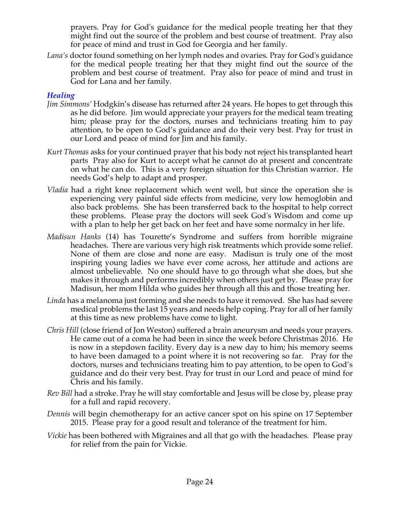prayers. Pray for God's guidance for the medical people treating her that they might find out the source of the problem and best course of treatment. Pray also for peace of mind and trust in God for Georgia and her family.

*Lana's* doctor found something on her lymph nodes and ovaries. Pray for God's guidance for the medical people treating her that they might find out the source of the problem and best course of treatment. Pray also for peace of mind and trust in God for Lana and her family.

# *Healing*

- *Jim Simmons'* Hodgkin's disease has returned after 24 years. He hopes to get through this as he did before. Jim would appreciate your prayers for the medical team treating him; please pray for the doctors, nurses and technicians treating him to pay attention, to be open to God's guidance and do their very best. Pray for trust in our Lord and peace of mind for Jim and his family.
- *Kurt Thomas* asks for your continued prayer that his body not reject his transplanted heart parts Pray also for Kurt to accept what he cannot do at present and concentrate on what he can do. This is a very foreign situation for this Christian warrior. He needs God's help to adapt and prosper.
- *Vladia* had a right knee replacement which went well, but since the operation she is experiencing very painful side effects from medicine, very low hemoglobin and also back problems. She has been transferred back to the hospital to help correct these problems. Please pray the doctors will seek God's Wisdom and come up with a plan to help her get back on her feet and have some normalcy in her life.
- *Madisun Hanks* (14) has Tourette's Syndrome and suffers from horrible migraine headaches. There are various very high risk treatments which provide some relief. None of them are close and none are easy. Madisun is truly one of the most inspiring young ladies we have ever come across, her attitude and actions are almost unbelievable. No one should have to go through what she does, but she makes it through and performs incredibly when others just get by. Please pray for Madisun, her mom Hilda who guides her through all this and those treating her.
- *Linda* has a melanoma just forming and she needs to have it removed. She has had severe medical problems the last 15 years and needs help coping. Pray for all of her family at this time as new problems have come to light.
- *Chris Hill* (close friend of Jon Weston) suffered a brain aneurysm and needs your prayers. He came out of a coma he had been in since the week before Christmas 2016. He is now in a stepdown facility. Every day is a new day to him; his memory seems to have been damaged to a point where it is not recovering so far. Pray for the doctors, nurses and technicians treating him to pay attention, to be open to God's guidance and do their very best. Pray for trust in our Lord and peace of mind for Chris and his family.
- *Rev Bill* had a stroke. Pray he will stay comfortable and Jesus will be close by, please pray for a full and rapid recovery.
- *Dennis* will begin chemotherapy for an active cancer spot on his spine on 17 September 2015. Please pray for a good result and tolerance of the treatment for him.
- *Vickie* has been bothered with Migraines and all that go with the headaches. Please pray for relief from the pain for Vickie.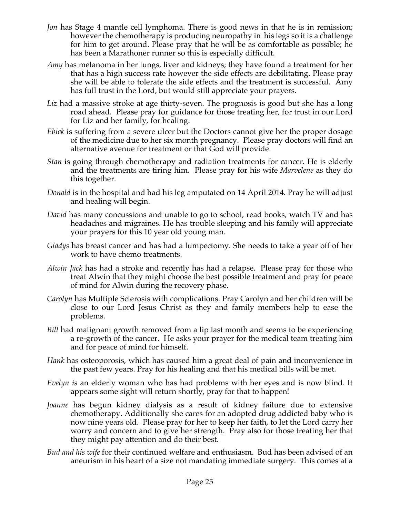- *Jon* has Stage 4 mantle cell lymphoma. There is good news in that he is in remission; however the chemotherapy is producing neuropathy in his legs so it is a challenge for him to get around. Please pray that he will be as comfortable as possible; he has been a Marathoner runner so this is especially difficult.
- *Amy* has melanoma in her lungs, liver and kidneys; they have found a treatment for her that has a high success rate however the side effects are debilitating. Please pray she will be able to tolerate the side effects and the treatment is successful. Amy has full trust in the Lord, but would still appreciate your prayers.
- *Liz* had a massive stroke at age thirty-seven. The prognosis is good but she has a long road ahead. Please pray for guidance for those treating her, for trust in our Lord for Liz and her family, for healing.
- *Ebick* is suffering from a severe ulcer but the Doctors cannot give her the proper dosage of the medicine due to her six month pregnancy. Please pray doctors will find an alternative avenue for treatment or that God will provide.
- *Stan* is going through chemotherapy and radiation treatments for cancer. He is elderly and the treatments are tiring him. Please pray for his wife *Marvelene* as they do this together.
- *Donald* is in the hospital and had his leg amputated on 14 April 2014. Pray he will adjust and healing will begin.
- *David* has many concussions and unable to go to school, read books, watch TV and has headaches and migraines. He has trouble sleeping and his family will appreciate your prayers for this 10 year old young man.
- *Gladys* has breast cancer and has had a lumpectomy. She needs to take a year off of her work to have chemo treatments.
- *Alwin Jack* has had a stroke and recently has had a relapse. Please pray for those who treat Alwin that they might choose the best possible treatment and pray for peace of mind for Alwin during the recovery phase.
- *Carolyn* has Multiple Sclerosis with complications. Pray Carolyn and her children will be close to our Lord Jesus Christ as they and family members help to ease the problems.
- *Bill* had malignant growth removed from a lip last month and seems to be experiencing a re-growth of the cancer. He asks your prayer for the medical team treating him and for peace of mind for himself.
- *Hank* has osteoporosis, which has caused him a great deal of pain and inconvenience in the past few years. Pray for his healing and that his medical bills will be met.
- *Evelyn is* an elderly woman who has had problems with her eyes and is now blind. It appears some sight will return shortly, pray for that to happen!
- *Joanne* has begun kidney dialysis as a result of kidney failure due to extensive chemotherapy. Additionally she cares for an adopted drug addicted baby who is now nine years old. Please pray for her to keep her faith, to let the Lord carry her worry and concern and to give her strength. Pray also for those treating her that they might pay attention and do their best.
- *Bud and his wife* for their continued welfare and enthusiasm. Bud has been advised of an aneurism in his heart of a size not mandating immediate surgery. This comes at a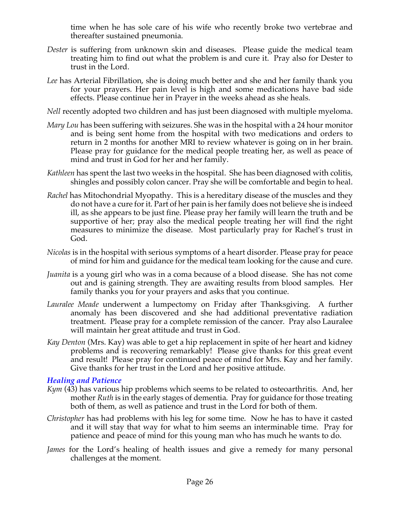time when he has sole care of his wife who recently broke two vertebrae and thereafter sustained pneumonia.

- *Dester* is suffering from unknown skin and diseases. Please guide the medical team treating him to find out what the problem is and cure it. Pray also for Dester to trust in the Lord.
- *Lee* has Arterial Fibrillation, she is doing much better and she and her family thank you for your prayers. Her pain level is high and some medications have bad side effects. Please continue her in Prayer in the weeks ahead as she heals.
- *Nell* recently adopted two children and has just been diagnosed with multiple myeloma.
- *Mary Lou* has been suffering with seizures. She was in the hospital with a 24 hour monitor and is being sent home from the hospital with two medications and orders to return in 2 months for another MRI to review whatever is going on in her brain. Please pray for guidance for the medical people treating her, as well as peace of mind and trust in God for her and her family.
- *Kathleen* has spent the last two weeks in the hospital. She has been diagnosed with colitis, shingles and possibly colon cancer. Pray she will be comfortable and begin to heal.
- *Rachel* has Mitochondrial Myopathy. This is a hereditary disease of the muscles and they do not have a cure for it. Part of her pain is her family does not believe she is indeed ill, as she appears to be just fine. Please pray her family will learn the truth and be supportive of her; pray also the medical people treating her will find the right measures to minimize the disease. Most particularly pray for Rachel's trust in God.
- *Nicolas* is in the hospital with serious symptoms of a heart disorder. Please pray for peace of mind for him and guidance for the medical team looking for the cause and cure.
- *Juanita* is a young girl who was in a coma because of a blood disease. She has not come out and is gaining strength. They are awaiting results from blood samples. Her family thanks you for your prayers and asks that you continue.
- *Lauralee Meade* underwent a lumpectomy on Friday after Thanksgiving. A further anomaly has been discovered and she had additional preventative radiation treatment. Please pray for a complete remission of the cancer. Pray also Lauralee will maintain her great attitude and trust in God.
- *Kay Denton* (Mrs. Kay) was able to get a hip replacement in spite of her heart and kidney problems and is recovering remarkably! Please give thanks for this great event and result! Please pray for continued peace of mind for Mrs. Kay and her family. Give thanks for her trust in the Lord and her positive attitude.

#### *Healing and Patience*

- *Kym* (43) has various hip problems which seems to be related to osteoarthritis. And, her mother *Ruth* is in the early stages of dementia. Pray for guidance for those treating both of them, as well as patience and trust in the Lord for both of them.
- *Christopher* has had problems with his leg for some time. Now he has to have it casted and it will stay that way for what to him seems an interminable time. Pray for patience and peace of mind for this young man who has much he wants to do.
- *James* for the Lord's healing of health issues and give a remedy for many personal challenges at the moment.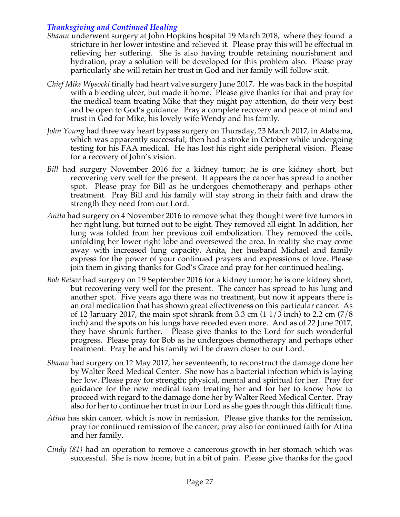# *Thanksgiving and Continued Healing*

- *Shamu* underwent surgery at John Hopkins hospital 19 March 2018, where they found a stricture in her lower intestine and relieved it. Please pray this will be effectual in relieving her suffering. She is also having trouble retaining nourishment and hydration, pray a solution will be developed for this problem also. Please pray particularly she will retain her trust in God and her family will follow suit.
- *Chief Mike Wysocki* finally had heart valve surgery June 2017. He was back in the hospital with a bleeding ulcer, but made it home. Please give thanks for that and pray for the medical team treating Mike that they might pay attention, do their very best and be open to God's guidance. Pray a complete recovery and peace of mind and trust in God for Mike, his lovely wife Wendy and his family.
- *John Young* had three way heart bypass surgery on Thursday, 23 March 2017, in Alabama, which was apparently successful, then had a stroke in October while undergoing testing for his FAA medical. He has lost his right side peripheral vision. Please for a recovery of John's vision.
- *Bill* had surgery November 2016 for a kidney tumor; he is one kidney short, but recovering very well for the present. It appears the cancer has spread to another spot. Please pray for Bill as he undergoes chemotherapy and perhaps other treatment. Pray Bill and his family will stay strong in their faith and draw the strength they need from our Lord.
- *Anita* had surgery on 4 November 2016 to remove what they thought were five tumors in her right lung, but turned out to be eight. They removed all eight. In addition, her lung was folded from her previous coil embolization. They removed the coils, unfolding her lower right lobe and oversewed the area. In reality she may come away with increased lung capacity. Anita, her husband Michael and family express for the power of your continued prayers and expressions of love. Please join them in giving thanks for God's Grace and pray for her continued healing.
- *Bob Reisor* had surgery on 19 September 2016 for a kidney tumor; he is one kidney short, but recovering very well for the present. The cancer has spread to his lung and another spot. Five years ago there was no treatment, but now it appears there is an oral medication that has shown great effectiveness on this particular cancer. As of 12 January 2017, the main spot shrank from 3.3 cm  $(11/3 \text{ inch})$  to 2.2 cm  $(7/8 \text{ ft})$ inch) and the spots on his lungs have receded even more. And as of 22 June 2017, they have shrunk further. Please give thanks to the Lord for such wonderful progress. Please pray for Bob as he undergoes chemotherapy and perhaps other treatment. Pray he and his family will be drawn closer to our Lord.
- *Shamu* had surgery on 12 May 2017, her seventeenth, to reconstruct the damage done her by Walter Reed Medical Center. She now has a bacterial infection which is laying her low. Please pray for strength; physical, mental and spiritual for her. Pray for guidance for the new medical team treating her and for her to know how to proceed with regard to the damage done her by Walter Reed Medical Center. Pray also for her to continue her trust in our Lord as she goes through this difficult time.
- *Atina* has skin cancer, which is now in remission. Please give thanks for the remission, pray for continued remission of the cancer; pray also for continued faith for Atina and her family.
- *Cindy (81)* had an operation to remove a cancerous growth in her stomach which was successful. She is now home, but in a bit of pain. Please give thanks for the good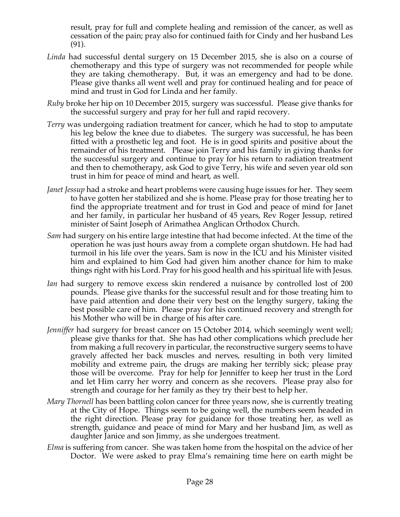result, pray for full and complete healing and remission of the cancer, as well as cessation of the pain; pray also for continued faith for Cindy and her husband Les (91).

- *Linda* had successful dental surgery on 15 December 2015, she is also on a course of chemotherapy and this type of surgery was not recommended for people while they are taking chemotherapy. But, it was an emergency and had to be done. Please give thanks all went well and pray for continued healing and for peace of mind and trust in God for Linda and her family.
- *Ruby* broke her hip on 10 December 2015, surgery was successful. Please give thanks for the successful surgery and pray for her full and rapid recovery.
- *Terry* was undergoing radiation treatment for cancer, which he had to stop to amputate his leg below the knee due to diabetes. The surgery was successful, he has been fitted with a prosthetic leg and foot. He is in good spirits and positive about the remainder of his treatment. Please join Terry and his family in giving thanks for the successful surgery and continue to pray for his return to radiation treatment and then to chemotherapy, ask God to give Terry, his wife and seven year old son trust in him for peace of mind and heart, as well.
- *Janet Jessup* had a stroke and heart problems were causing huge issues for her. They seem to have gotten her stabilized and she is home. Please pray for those treating her to find the appropriate treatment and for trust in God and peace of mind for Janet and her family, in particular her husband of 45 years, Rev Roger Jessup, retired minister of Saint Joseph of Arimathea Anglican Orthodox Church.
- *Sam* had surgery on his entire large intestine that had become infected. At the time of the operation he was just hours away from a complete organ shutdown. He had had turmoil in his life over the years. Sam is now in the ICU and his Minister visited him and explained to him God had given him another chance for him to make things right with his Lord. Pray for his good health and his spiritual life with Jesus.
- *Ian* had surgery to remove excess skin rendered a nuisance by controlled lost of 200 pounds. Please give thanks for the successful result and for those treating him to have paid attention and done their very best on the lengthy surgery, taking the best possible care of him. Please pray for his continued recovery and strength for his Mother who will be in charge of his after care.
- *Jenniffer* had surgery for breast cancer on 15 October 2014, which seemingly went well; please give thanks for that. She has had other complications which preclude her from making a full recovery in particular, the reconstructive surgery seems to have gravely affected her back muscles and nerves, resulting in both very limited mobility and extreme pain, the drugs are making her terribly sick; please pray those will be overcome. Pray for help for Jenniffer to keep her trust in the Lord and let Him carry her worry and concern as she recovers. Please pray also for strength and courage for her family as they try their best to help her.
- *Mary Thornell* has been battling colon cancer for three years now, she is currently treating at the City of Hope. Things seem to be going well, the numbers seem headed in the right direction. Please pray for guidance for those treating her, as well as strength, guidance and peace of mind for Mary and her husband Jim, as well as daughter Janice and son Jimmy, as she undergoes treatment.
- *Elma* is suffering from cancer. She was taken home from the hospital on the advice of her Doctor. We were asked to pray Elma's remaining time here on earth might be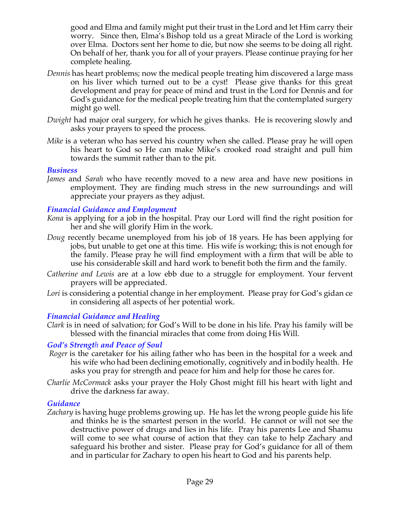good and Elma and family might put their trust in the Lord and let Him carry their worry. Since then, Elma's Bishop told us a great Miracle of the Lord is working over Elma. Doctors sent her home to die, but now she seems to be doing all right. On behalf of her, thank you for all of your prayers. Please continue praying for her complete healing.

- *Dennis* has heart problems; now the medical people treating him discovered a large mass on his liver which turned out to be a cyst! Please give thanks for this great development and pray for peace of mind and trust in the Lord for Dennis and for God's guidance for the medical people treating him that the contemplated surgery might go well.
- *Dwight* had major oral surgery, for which he gives thanks. He is recovering slowly and asks your prayers to speed the process.
- *Mike* is a veteran who has served his country when she called. Please pray he will open his heart to God so He can make Mike's crooked road straight and pull him towards the summit rather than to the pit.

#### *Business*

*James* and *Sarah* who have recently moved to a new area and have new positions in employment. They are finding much stress in the new surroundings and will appreciate your prayers as they adjust.

# *Financial Guidance and Employment*

- *Kona* is applying for a job in the hospital. Pray our Lord will find the right position for her and she will glorify Him in the work.
- *Doug* recently became unemployed from his job of 18 years. He has been applying for jobs, but unable to get one at this time. His wife is working; this is not enough for the family. Please pray he will find employment with a firm that will be able to use his considerable skill and hard work to benefit both the firm and the family.
- *Catherine and Lewis* are at a low ebb due to a struggle for employment. Your fervent prayers will be appreciated.
- Lori is considering a potential change in her employment. Please pray for God's gidan ce in considering all aspects of her potential work.

#### *Financial Guidance and Healing*

*Clark* is in need of salvation; for God's Will to be done in his life. Pray his family will be blessed with the financial miracles that come from doing His Will.

# *God's Strength and Peace of Soul*

- *Roger* is the caretaker for his ailing father who has been in the hospital for a week and his wife who had been declining emotionally, cognitively and in bodily health. He asks you pray for strength and peace for him and help for those he cares for.
- *Charlie McCormack* asks your prayer the Holy Ghost might fill his heart with light and drive the darkness far away.

#### *Guidance*

*Zachary* is having huge problems growing up. He has let the wrong people guide his life and thinks he is the smartest person in the world. He cannot or will not see the destructive power of drugs and lies in his life. Pray his parents Lee and Shamu will come to see what course of action that they can take to help Zachary and safeguard his brother and sister. Please pray for God's guidance for all of them and in particular for Zachary to open his heart to God and his parents help.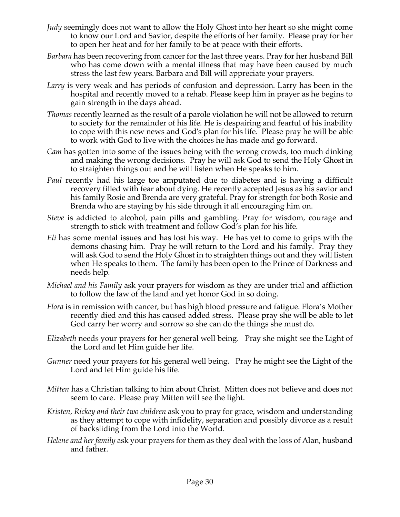- *Judy* seemingly does not want to allow the Holy Ghost into her heart so she might come to know our Lord and Savior, despite the efforts of her family. Please pray for her to open her heat and for her family to be at peace with their efforts.
- *Barbara* has been recovering from cancer for the last three years. Pray for her husband Bill who has come down with a mental illness that may have been caused by much stress the last few years. Barbara and Bill will appreciate your prayers.
- *Larry* is very weak and has periods of confusion and depression. Larry has been in the hospital and recently moved to a rehab. Please keep him in prayer as he begins to gain strength in the days ahead.
- *Thomas* recently learned as the result of a parole violation he will not be allowed to return to society for the remainder of his life. He is despairing and fearful of his inability to cope with this new news and God's plan for his life. Please pray he will be able to work with God to live with the choices he has made and go forward.
- *Cam* has gotten into some of the issues being with the wrong crowds, too much dinking and making the wrong decisions. Pray he will ask God to send the Holy Ghost in to straighten things out and he will listen when He speaks to him.
- *Paul* recently had his large toe amputated due to diabetes and is having a difficult recovery filled with fear about dying. He recently accepted Jesus as his savior and his family Rosie and Brenda are very grateful. Pray for strength for both Rosie and Brenda who are staying by his side through it all encouraging him on.
- *Steve* is addicted to alcohol, pain pills and gambling. Pray for wisdom, courage and strength to stick with treatment and follow God's plan for his life.
- *Eli* has some mental issues and has lost his way. He has yet to come to grips with the demons chasing him. Pray he will return to the Lord and his family. Pray they will ask God to send the Holy Ghost in to straighten things out and they will listen when He speaks to them. The family has been open to the Prince of Darkness and needs help.
- *Michael and his Family* ask your prayers for wisdom as they are under trial and affliction to follow the law of the land and yet honor God in so doing.
- *Flora* is in remission with cancer, but has high blood pressure and fatigue. Flora's Mother recently died and this has caused added stress. Please pray she will be able to let God carry her worry and sorrow so she can do the things she must do.
- *Elizabeth* needs your prayers for her general well being. Pray she might see the Light of the Lord and let Him guide her life.
- *Gunner* need your prayers for his general well being. Pray he might see the Light of the Lord and let Him guide his life.
- *Mitten* has a Christian talking to him about Christ. Mitten does not believe and does not seem to care. Please pray Mitten will see the light.
- *Kristen, Rickey and their two children* ask you to pray for grace, wisdom and understanding as they attempt to cope with infidelity, separation and possibly divorce as a result of backsliding from the Lord into the World.
- *Helene and her family* ask your prayers for them as they deal with the loss of Alan, husband and father.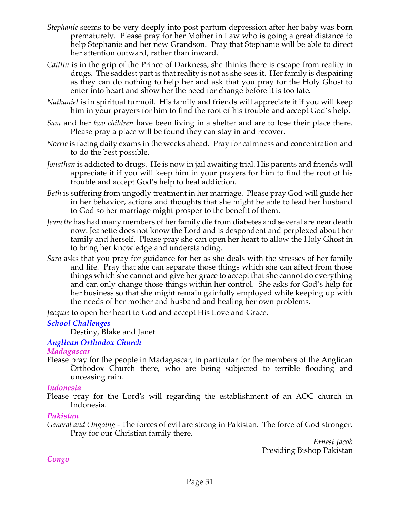- *Stephanie* seems to be very deeply into post partum depression after her baby was born prematurely. Please pray for her Mother in Law who is going a great distance to help Stephanie and her new Grandson. Pray that Stephanie will be able to direct her attention outward, rather than inward.
- *Caitlin* is in the grip of the Prince of Darkness; she thinks there is escape from reality in drugs. The saddest part is that reality is not as she sees it. Her family is despairing as they can do nothing to help her and ask that you pray for the Holy Ghost to enter into heart and show her the need for change before it is too late.
- *Nathaniel* is in spiritual turmoil. His family and friends will appreciate it if you will keep him in your prayers for him to find the root of his trouble and accept God's help.
- *Sam* and her *two children* have been living in a shelter and are to lose their place there. Please pray a place will be found they can stay in and recover.
- *Norrie* is facing daily exams in the weeks ahead. Pray for calmness and concentration and to do the best possible.
- *Jonathan* is addicted to drugs. He is now in jail awaiting trial. His parents and friends will appreciate it if you will keep him in your prayers for him to find the root of his trouble and accept God's help to heal addiction.
- *Beth* is suffering from ungodly treatment in her marriage. Please pray God will guide her in her behavior, actions and thoughts that she might be able to lead her husband to God so her marriage might prosper to the benefit of them.
- *Jeanette* has had many members of her family die from diabetes and several are near death now. Jeanette does not know the Lord and is despondent and perplexed about her family and herself. Please pray she can open her heart to allow the Holy Ghost in to bring her knowledge and understanding.
- *Sara* asks that you pray for guidance for her as she deals with the stresses of her family and life. Pray that she can separate those things which she can affect from those things which she cannot and give her grace to accept that she cannot do everything and can only change those things within her control. She asks for God's help for her business so that she might remain gainfully employed while keeping up with the needs of her mother and husband and healing her own problems.

*Jacquie* to open her heart to God and accept His Love and Grace.

# *School Challenges*

Destiny, Blake and Janet

# *Anglican Orthodox Church*

# *Madagascar*

Please pray for the people in Madagascar, in particular for the members of the Anglican Orthodox Church there, who are being subjected to terrible flooding and unceasing rain.

# *Indonesia*

Please pray for the Lord's will regarding the establishment of an AOC church in Indonesia.

# *Pakistan*

*General and Ongoing -* The forces of evil are strong in Pakistan. The force of God stronger. Pray for our Christian family there.

*Ernest Jacob* Presiding Bishop Pakistan

*Congo*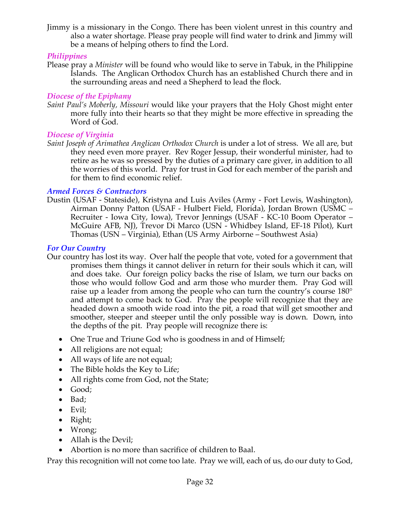Jimmy is a missionary in the Congo. There has been violent unrest in this country and also a water shortage. Please pray people will find water to drink and Jimmy will be a means of helping others to find the Lord.

### *Philippines*

Please pray a *Minister* will be found who would like to serve in Tabuk, in the Philippine Islands. The Anglican Orthodox Church has an established Church there and in the surrounding areas and need a Shepherd to lead the flock*.*

### *Diocese of the Epiphany*

*Saint Paul's Moberly, Missouri* would like your prayers that the Holy Ghost might enter more fully into their hearts so that they might be more effective in spreading the Word of God.

# *Diocese of Virginia*

*Saint Joseph of Arimathea Anglican Orthodox Church* is under a lot of stress. We all are, but they need even more prayer. Rev Roger Jessup, their wonderful minister, had to retire as he was so pressed by the duties of a primary care giver, in addition to all the worries of this world. Pray for trust in God for each member of the parish and for them to find economic relief.

# *Armed Forces & Contractors*

Dustin (USAF - Stateside), Kristyna and Luis Aviles (Army - Fort Lewis, Washington), Airman Donny Patton (USAF - Hulbert Field, Florida), Jordan Brown (USMC – Recruiter - Iowa City, Iowa), Trevor Jennings (USAF - KC-10 Boom Operator – McGuire AFB, NJ), Trevor Di Marco (USN - Whidbey Island, EF-18 Pilot), Kurt Thomas (USN – Virginia), Ethan (US Army Airborne – Southwest Asia)

### *For Our Country*

- Our country has lost its way. Over half the people that vote, voted for a government that promises them things it cannot deliver in return for their souls which it can, will and does take. Our foreign policy backs the rise of Islam, we turn our backs on those who would follow God and arm those who murder them. Pray God will raise up a leader from among the people who can turn the country's course 180° and attempt to come back to God. Pray the people will recognize that they are headed down a smooth wide road into the pit, a road that will get smoother and smoother, steeper and steeper until the only possible way is down. Down, into the depths of the pit. Pray people will recognize there is:
	- One True and Triune God who is goodness in and of Himself;
	- All religions are not equal;
	- All ways of life are not equal;
	- The Bible holds the Key to Life;
	- All rights come from God, not the State;
	- Good;
	- Bad;
	- Evil;
	- Right;
	- Wrong;
	- Allah is the Devil;
	- Abortion is no more than sacrifice of children to Baal.

Pray this recognition will not come too late. Pray we will, each of us, do our duty to God,